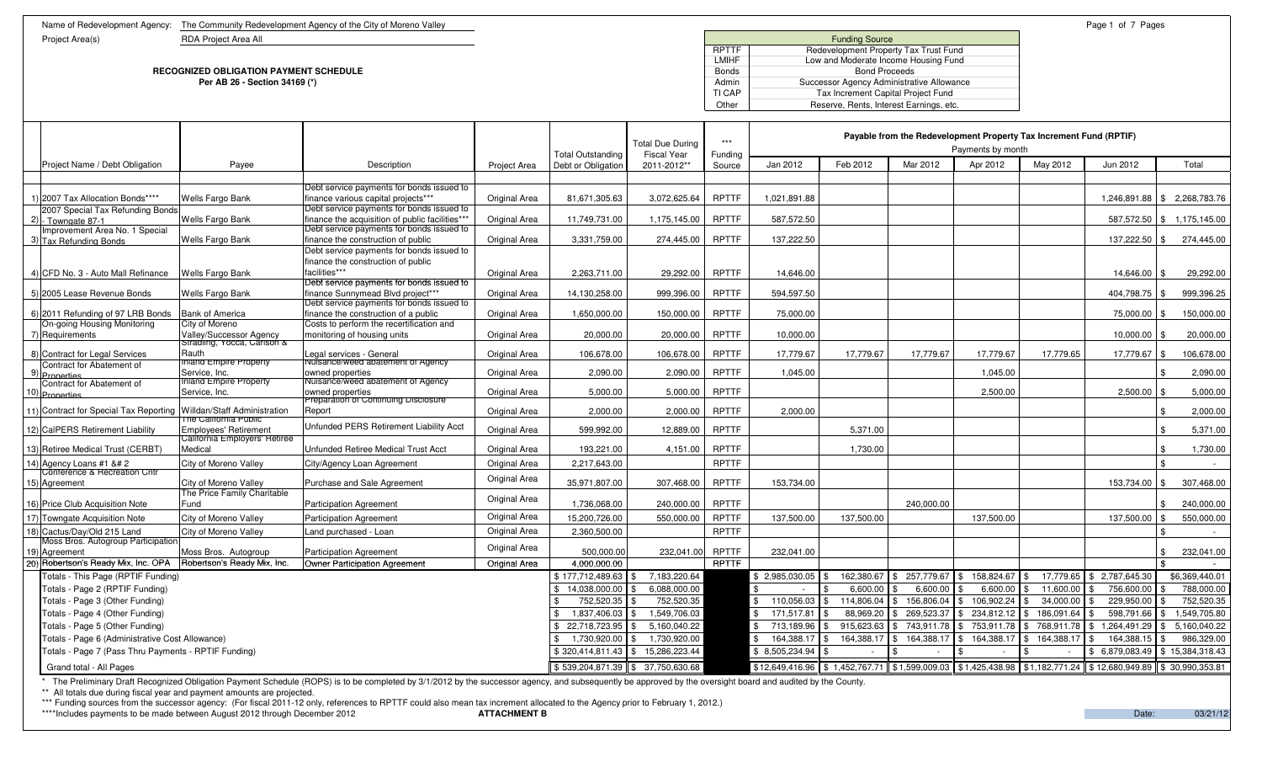Name of Redevelopment Agency: The Community Redevelopment Agency of the City of Moreno Valley Page 1 of 7 Pages 1 of 7 Pages 1 of 7 Pages

Project Area(s) RDA Project Area All

## **RECOGNIZED OBLIGATION PAYMENT SCHEDULEPer AB 26 - Section 34169 (\*)**

E Bonds and the second second second second second second second second second second second second second second second second second second second second second second second second second second second second second sec ) and the contract of the contract of the contract of the contract of the contract of the contract of the contract of the contract of the contract of the contract of the contract of the contract of the contract of the cont

|  |                                                                                                                                                                                                                                                                                                                                                                                                                                                                                                                                                                                                                                                                                                                                                                                                                                                                                                                                                                                                                                                                                                                                                                                                                                                                                                                                                                                                                                                                                                                                                                                                                                                                                                                                                                                                                                                                                                                                                                                                                                                                                                                                                                                                                                                                                                                                                                                                                                                                                                                                                                                                                                                                                                                                                                                                                                                                                                                                                                                                                                                                                                                                                                                                                                                                                                                                                                                                                                                                                                                                                                                                                                                                                                                                                                                                                                                                                                                                                                                                                                                                                                                                                                                                                                                                                                                                                                                                                                                                                                                                                                                                                                                                                                                                                                                                                                                                                                                                                                                                                                                                                                                                                                                                                                                                                             |                                                               |                                                                                  |               |                                         | <b>Total Due During</b>           | $***$             | Payable from the Redevelopment Property Tax Increment Fund (RPTIF) |           |           | Payments by month |           |                 |                              |
|--|---------------------------------------------------------------------------------------------------------------------------------------------------------------------------------------------------------------------------------------------------------------------------------------------------------------------------------------------------------------------------------------------------------------------------------------------------------------------------------------------------------------------------------------------------------------------------------------------------------------------------------------------------------------------------------------------------------------------------------------------------------------------------------------------------------------------------------------------------------------------------------------------------------------------------------------------------------------------------------------------------------------------------------------------------------------------------------------------------------------------------------------------------------------------------------------------------------------------------------------------------------------------------------------------------------------------------------------------------------------------------------------------------------------------------------------------------------------------------------------------------------------------------------------------------------------------------------------------------------------------------------------------------------------------------------------------------------------------------------------------------------------------------------------------------------------------------------------------------------------------------------------------------------------------------------------------------------------------------------------------------------------------------------------------------------------------------------------------------------------------------------------------------------------------------------------------------------------------------------------------------------------------------------------------------------------------------------------------------------------------------------------------------------------------------------------------------------------------------------------------------------------------------------------------------------------------------------------------------------------------------------------------------------------------------------------------------------------------------------------------------------------------------------------------------------------------------------------------------------------------------------------------------------------------------------------------------------------------------------------------------------------------------------------------------------------------------------------------------------------------------------------------------------------------------------------------------------------------------------------------------------------------------------------------------------------------------------------------------------------------------------------------------------------------------------------------------------------------------------------------------------------------------------------------------------------------------------------------------------------------------------------------------------------------------------------------------------------------------------------------------------------------------------------------------------------------------------------------------------------------------------------------------------------------------------------------------------------------------------------------------------------------------------------------------------------------------------------------------------------------------------------------------------------------------------------------------------------------------------------------------------------------------------------------------------------------------------------------------------------------------------------------------------------------------------------------------------------------------------------------------------------------------------------------------------------------------------------------------------------------------------------------------------------------------------------------------------------------------------------------------------------------------------------------------------------------------------------------------------------------------------------------------------------------------------------------------------------------------------------------------------------------------------------------------------------------------------------------------------------------------------------------------------------------------------------------------------------------------------------------------------------------------------------------|---------------------------------------------------------------|----------------------------------------------------------------------------------|---------------|-----------------------------------------|-----------------------------------|-------------------|--------------------------------------------------------------------|-----------|-----------|-------------------|-----------|-----------------|------------------------------|
|  | Project Name / Debt Obligation                                                                                                                                                                                                                                                                                                                                                                                                                                                                                                                                                                                                                                                                                                                                                                                                                                                                                                                                                                                                                                                                                                                                                                                                                                                                                                                                                                                                                                                                                                                                                                                                                                                                                                                                                                                                                                                                                                                                                                                                                                                                                                                                                                                                                                                                                                                                                                                                                                                                                                                                                                                                                                                                                                                                                                                                                                                                                                                                                                                                                                                                                                                                                                                                                                                                                                                                                                                                                                                                                                                                                                                                                                                                                                                                                                                                                                                                                                                                                                                                                                                                                                                                                                                                                                                                                                                                                                                                                                                                                                                                                                                                                                                                                                                                                                                                                                                                                                                                                                                                                                                                                                                                                                                                                                                              | Payee                                                         | Description                                                                      | Project Area  | Total Outstanding<br>Debt or Obligation | <b>Fiscal Year</b><br>2011-2012** | Funding<br>Source | Jan 2012                                                           | Feb 2012  | Mar 2012  | Apr 2012          | May 2012  | Jun 2012        | Total                        |
|  |                                                                                                                                                                                                                                                                                                                                                                                                                                                                                                                                                                                                                                                                                                                                                                                                                                                                                                                                                                                                                                                                                                                                                                                                                                                                                                                                                                                                                                                                                                                                                                                                                                                                                                                                                                                                                                                                                                                                                                                                                                                                                                                                                                                                                                                                                                                                                                                                                                                                                                                                                                                                                                                                                                                                                                                                                                                                                                                                                                                                                                                                                                                                                                                                                                                                                                                                                                                                                                                                                                                                                                                                                                                                                                                                                                                                                                                                                                                                                                                                                                                                                                                                                                                                                                                                                                                                                                                                                                                                                                                                                                                                                                                                                                                                                                                                                                                                                                                                                                                                                                                                                                                                                                                                                                                                                             |                                                               |                                                                                  |               |                                         |                                   |                   |                                                                    |           |           |                   |           |                 |                              |
|  | 1) 2007 Tax Allocation Bonds****                                                                                                                                                                                                                                                                                                                                                                                                                                                                                                                                                                                                                                                                                                                                                                                                                                                                                                                                                                                                                                                                                                                                                                                                                                                                                                                                                                                                                                                                                                                                                                                                                                                                                                                                                                                                                                                                                                                                                                                                                                                                                                                                                                                                                                                                                                                                                                                                                                                                                                                                                                                                                                                                                                                                                                                                                                                                                                                                                                                                                                                                                                                                                                                                                                                                                                                                                                                                                                                                                                                                                                                                                                                                                                                                                                                                                                                                                                                                                                                                                                                                                                                                                                                                                                                                                                                                                                                                                                                                                                                                                                                                                                                                                                                                                                                                                                                                                                                                                                                                                                                                                                                                                                                                                                                            | Wells Fargo Bank                                              | Debt service payments for bonds issued to<br>finance various capital projects*** | Original Area | 81.671.305.63                           | 3.072.625.64                      | <b>RPTTF</b>      | 1.021.891.88                                                       |           |           |                   |           |                 | 1,246,891.88 \$ 2,268,783.76 |
|  | 2007 Special Tax Refunding Bonds                                                                                                                                                                                                                                                                                                                                                                                                                                                                                                                                                                                                                                                                                                                                                                                                                                                                                                                                                                                                                                                                                                                                                                                                                                                                                                                                                                                                                                                                                                                                                                                                                                                                                                                                                                                                                                                                                                                                                                                                                                                                                                                                                                                                                                                                                                                                                                                                                                                                                                                                                                                                                                                                                                                                                                                                                                                                                                                                                                                                                                                                                                                                                                                                                                                                                                                                                                                                                                                                                                                                                                                                                                                                                                                                                                                                                                                                                                                                                                                                                                                                                                                                                                                                                                                                                                                                                                                                                                                                                                                                                                                                                                                                                                                                                                                                                                                                                                                                                                                                                                                                                                                                                                                                                                                            |                                                               | Debt service payments for bonds issued to                                        |               |                                         |                                   |                   |                                                                    |           |           |                   |           |                 |                              |
|  | $2$ ) - Towngate 87-1                                                                                                                                                                                                                                                                                                                                                                                                                                                                                                                                                                                                                                                                                                                                                                                                                                                                                                                                                                                                                                                                                                                                                                                                                                                                                                                                                                                                                                                                                                                                                                                                                                                                                                                                                                                                                                                                                                                                                                                                                                                                                                                                                                                                                                                                                                                                                                                                                                                                                                                                                                                                                                                                                                                                                                                                                                                                                                                                                                                                                                                                                                                                                                                                                                                                                                                                                                                                                                                                                                                                                                                                                                                                                                                                                                                                                                                                                                                                                                                                                                                                                                                                                                                                                                                                                                                                                                                                                                                                                                                                                                                                                                                                                                                                                                                                                                                                                                                                                                                                                                                                                                                                                                                                                                                                       | Wells Fargo Bank                                              | finance the acquisition of public facilities***                                  | Original Area | 11,749,731.00                           | 1,175,145.00                      | <b>RPTTF</b>      | 587,572.50                                                         |           |           |                   |           |                 | 587,572.50   \$ 1,175,145.00 |
|  | Improvement Area No. 1 Special                                                                                                                                                                                                                                                                                                                                                                                                                                                                                                                                                                                                                                                                                                                                                                                                                                                                                                                                                                                                                                                                                                                                                                                                                                                                                                                                                                                                                                                                                                                                                                                                                                                                                                                                                                                                                                                                                                                                                                                                                                                                                                                                                                                                                                                                                                                                                                                                                                                                                                                                                                                                                                                                                                                                                                                                                                                                                                                                                                                                                                                                                                                                                                                                                                                                                                                                                                                                                                                                                                                                                                                                                                                                                                                                                                                                                                                                                                                                                                                                                                                                                                                                                                                                                                                                                                                                                                                                                                                                                                                                                                                                                                                                                                                                                                                                                                                                                                                                                                                                                                                                                                                                                                                                                                                              |                                                               | Debt service payments for bonds issued to                                        |               |                                         |                                   |                   |                                                                    |           |           |                   |           |                 |                              |
|  | 3) Tax Refunding Bonds                                                                                                                                                                                                                                                                                                                                                                                                                                                                                                                                                                                                                                                                                                                                                                                                                                                                                                                                                                                                                                                                                                                                                                                                                                                                                                                                                                                                                                                                                                                                                                                                                                                                                                                                                                                                                                                                                                                                                                                                                                                                                                                                                                                                                                                                                                                                                                                                                                                                                                                                                                                                                                                                                                                                                                                                                                                                                                                                                                                                                                                                                                                                                                                                                                                                                                                                                                                                                                                                                                                                                                                                                                                                                                                                                                                                                                                                                                                                                                                                                                                                                                                                                                                                                                                                                                                                                                                                                                                                                                                                                                                                                                                                                                                                                                                                                                                                                                                                                                                                                                                                                                                                                                                                                                                                      | Wells Fargo Bank                                              | finance the construction of public                                               | Original Area | 3,331,759.00                            | 274,445.00                        | <b>RPTTF</b>      | 137,222.50                                                         |           |           |                   |           | 137,222.50 \$   | 274,445.00                   |
|  |                                                                                                                                                                                                                                                                                                                                                                                                                                                                                                                                                                                                                                                                                                                                                                                                                                                                                                                                                                                                                                                                                                                                                                                                                                                                                                                                                                                                                                                                                                                                                                                                                                                                                                                                                                                                                                                                                                                                                                                                                                                                                                                                                                                                                                                                                                                                                                                                                                                                                                                                                                                                                                                                                                                                                                                                                                                                                                                                                                                                                                                                                                                                                                                                                                                                                                                                                                                                                                                                                                                                                                                                                                                                                                                                                                                                                                                                                                                                                                                                                                                                                                                                                                                                                                                                                                                                                                                                                                                                                                                                                                                                                                                                                                                                                                                                                                                                                                                                                                                                                                                                                                                                                                                                                                                                                             |                                                               | Debt service payments for bonds issued to<br>finance the construction of public  |               |                                         |                                   |                   |                                                                    |           |           |                   |           |                 |                              |
|  | 4) CFD No. 3 - Auto Mall Refinance                                                                                                                                                                                                                                                                                                                                                                                                                                                                                                                                                                                                                                                                                                                                                                                                                                                                                                                                                                                                                                                                                                                                                                                                                                                                                                                                                                                                                                                                                                                                                                                                                                                                                                                                                                                                                                                                                                                                                                                                                                                                                                                                                                                                                                                                                                                                                                                                                                                                                                                                                                                                                                                                                                                                                                                                                                                                                                                                                                                                                                                                                                                                                                                                                                                                                                                                                                                                                                                                                                                                                                                                                                                                                                                                                                                                                                                                                                                                                                                                                                                                                                                                                                                                                                                                                                                                                                                                                                                                                                                                                                                                                                                                                                                                                                                                                                                                                                                                                                                                                                                                                                                                                                                                                                                          | <b>Wells Fargo Bank</b>                                       | facilities***                                                                    | Original Area | 2.263.711.00                            | 29.292.00                         | <b>RPTTF</b>      | 14.646.00                                                          |           |           |                   |           | 14.646.00 \$    | 29.292.00                    |
|  |                                                                                                                                                                                                                                                                                                                                                                                                                                                                                                                                                                                                                                                                                                                                                                                                                                                                                                                                                                                                                                                                                                                                                                                                                                                                                                                                                                                                                                                                                                                                                                                                                                                                                                                                                                                                                                                                                                                                                                                                                                                                                                                                                                                                                                                                                                                                                                                                                                                                                                                                                                                                                                                                                                                                                                                                                                                                                                                                                                                                                                                                                                                                                                                                                                                                                                                                                                                                                                                                                                                                                                                                                                                                                                                                                                                                                                                                                                                                                                                                                                                                                                                                                                                                                                                                                                                                                                                                                                                                                                                                                                                                                                                                                                                                                                                                                                                                                                                                                                                                                                                                                                                                                                                                                                                                                             |                                                               | Debt service payments for bonds issued to                                        |               |                                         |                                   |                   |                                                                    |           |           |                   |           |                 |                              |
|  | 5) 2005 Lease Revenue Bonds                                                                                                                                                                                                                                                                                                                                                                                                                                                                                                                                                                                                                                                                                                                                                                                                                                                                                                                                                                                                                                                                                                                                                                                                                                                                                                                                                                                                                                                                                                                                                                                                                                                                                                                                                                                                                                                                                                                                                                                                                                                                                                                                                                                                                                                                                                                                                                                                                                                                                                                                                                                                                                                                                                                                                                                                                                                                                                                                                                                                                                                                                                                                                                                                                                                                                                                                                                                                                                                                                                                                                                                                                                                                                                                                                                                                                                                                                                                                                                                                                                                                                                                                                                                                                                                                                                                                                                                                                                                                                                                                                                                                                                                                                                                                                                                                                                                                                                                                                                                                                                                                                                                                                                                                                                                                 | Wells Fargo Bank                                              | finance Sunnymead Blyd project***                                                | Original Area | 14.130.258.00                           | 999.396.00                        | <b>RPTTF</b>      | 594.597.50                                                         |           |           |                   |           | 404.798.75      | 999.396.25                   |
|  |                                                                                                                                                                                                                                                                                                                                                                                                                                                                                                                                                                                                                                                                                                                                                                                                                                                                                                                                                                                                                                                                                                                                                                                                                                                                                                                                                                                                                                                                                                                                                                                                                                                                                                                                                                                                                                                                                                                                                                                                                                                                                                                                                                                                                                                                                                                                                                                                                                                                                                                                                                                                                                                                                                                                                                                                                                                                                                                                                                                                                                                                                                                                                                                                                                                                                                                                                                                                                                                                                                                                                                                                                                                                                                                                                                                                                                                                                                                                                                                                                                                                                                                                                                                                                                                                                                                                                                                                                                                                                                                                                                                                                                                                                                                                                                                                                                                                                                                                                                                                                                                                                                                                                                                                                                                                                             |                                                               | Debt service payments for bonds issued to                                        |               |                                         |                                   |                   |                                                                    |           |           |                   |           |                 |                              |
|  | 6) 2011 Refunding of 97 LRB Bonds<br>On-going Housing Monitoring                                                                                                                                                                                                                                                                                                                                                                                                                                                                                                                                                                                                                                                                                                                                                                                                                                                                                                                                                                                                                                                                                                                                                                                                                                                                                                                                                                                                                                                                                                                                                                                                                                                                                                                                                                                                                                                                                                                                                                                                                                                                                                                                                                                                                                                                                                                                                                                                                                                                                                                                                                                                                                                                                                                                                                                                                                                                                                                                                                                                                                                                                                                                                                                                                                                                                                                                                                                                                                                                                                                                                                                                                                                                                                                                                                                                                                                                                                                                                                                                                                                                                                                                                                                                                                                                                                                                                                                                                                                                                                                                                                                                                                                                                                                                                                                                                                                                                                                                                                                                                                                                                                                                                                                                                            | <b>Bank of America</b><br>City of Moreno                      | finance the construction of a public<br>Costs to perform the recertification and | Original Area | 1.650.000.00                            | 150,000.00                        | <b>RPTTF</b>      | 75.000.00                                                          |           |           |                   |           | 75,000.00 \$    | 150.000.00                   |
|  | 7) Requirements                                                                                                                                                                                                                                                                                                                                                                                                                                                                                                                                                                                                                                                                                                                                                                                                                                                                                                                                                                                                                                                                                                                                                                                                                                                                                                                                                                                                                                                                                                                                                                                                                                                                                                                                                                                                                                                                                                                                                                                                                                                                                                                                                                                                                                                                                                                                                                                                                                                                                                                                                                                                                                                                                                                                                                                                                                                                                                                                                                                                                                                                                                                                                                                                                                                                                                                                                                                                                                                                                                                                                                                                                                                                                                                                                                                                                                                                                                                                                                                                                                                                                                                                                                                                                                                                                                                                                                                                                                                                                                                                                                                                                                                                                                                                                                                                                                                                                                                                                                                                                                                                                                                                                                                                                                                                             |                                                               | monitoring of housing units                                                      | Original Area | 20,000.00                               | 20,000.00                         | <b>RPTTF</b>      | 10,000.00                                                          |           |           |                   |           | $10,000.00$ \\$ | 20,000.00                    |
|  |                                                                                                                                                                                                                                                                                                                                                                                                                                                                                                                                                                                                                                                                                                                                                                                                                                                                                                                                                                                                                                                                                                                                                                                                                                                                                                                                                                                                                                                                                                                                                                                                                                                                                                                                                                                                                                                                                                                                                                                                                                                                                                                                                                                                                                                                                                                                                                                                                                                                                                                                                                                                                                                                                                                                                                                                                                                                                                                                                                                                                                                                                                                                                                                                                                                                                                                                                                                                                                                                                                                                                                                                                                                                                                                                                                                                                                                                                                                                                                                                                                                                                                                                                                                                                                                                                                                                                                                                                                                                                                                                                                                                                                                                                                                                                                                                                                                                                                                                                                                                                                                                                                                                                                                                                                                                                             | Valley/Successor Agency<br>Stradling, Yocca, Carison &        |                                                                                  |               |                                         |                                   |                   |                                                                    |           |           |                   |           |                 |                              |
|  | 8) Contract for Legal Services                                                                                                                                                                                                                                                                                                                                                                                                                                                                                                                                                                                                                                                                                                                                                                                                                                                                                                                                                                                                                                                                                                                                                                                                                                                                                                                                                                                                                                                                                                                                                                                                                                                                                                                                                                                                                                                                                                                                                                                                                                                                                                                                                                                                                                                                                                                                                                                                                                                                                                                                                                                                                                                                                                                                                                                                                                                                                                                                                                                                                                                                                                                                                                                                                                                                                                                                                                                                                                                                                                                                                                                                                                                                                                                                                                                                                                                                                                                                                                                                                                                                                                                                                                                                                                                                                                                                                                                                                                                                                                                                                                                                                                                                                                                                                                                                                                                                                                                                                                                                                                                                                                                                                                                                                                                              | Rauth<br>Inland Empire Property                               | Legal services - General<br>Nuisance/weed abatement of Agency                    | Original Area | 106,678.00                              | 106,678.00                        | <b>RPTTF</b>      | 17,779.67                                                          | 17,779.67 | 17,779.67 | 17,779.67         | 17,779.65 | 17,779.67 \$    | 106,678.00                   |
|  | Contract for Abatement of<br>9) Properties                                                                                                                                                                                                                                                                                                                                                                                                                                                                                                                                                                                                                                                                                                                                                                                                                                                                                                                                                                                                                                                                                                                                                                                                                                                                                                                                                                                                                                                                                                                                                                                                                                                                                                                                                                                                                                                                                                                                                                                                                                                                                                                                                                                                                                                                                                                                                                                                                                                                                                                                                                                                                                                                                                                                                                                                                                                                                                                                                                                                                                                                                                                                                                                                                                                                                                                                                                                                                                                                                                                                                                                                                                                                                                                                                                                                                                                                                                                                                                                                                                                                                                                                                                                                                                                                                                                                                                                                                                                                                                                                                                                                                                                                                                                                                                                                                                                                                                                                                                                                                                                                                                                                                                                                                                                  | Service, Inc.                                                 | owned properties                                                                 | Original Area | 2,090.00                                | 2,090.00                          | RPTTF             | 1,045.00                                                           |           |           | 1,045.00          |           |                 | 2,090.00<br>-\$              |
|  | Contract for Abatement of                                                                                                                                                                                                                                                                                                                                                                                                                                                                                                                                                                                                                                                                                                                                                                                                                                                                                                                                                                                                                                                                                                                                                                                                                                                                                                                                                                                                                                                                                                                                                                                                                                                                                                                                                                                                                                                                                                                                                                                                                                                                                                                                                                                                                                                                                                                                                                                                                                                                                                                                                                                                                                                                                                                                                                                                                                                                                                                                                                                                                                                                                                                                                                                                                                                                                                                                                                                                                                                                                                                                                                                                                                                                                                                                                                                                                                                                                                                                                                                                                                                                                                                                                                                                                                                                                                                                                                                                                                                                                                                                                                                                                                                                                                                                                                                                                                                                                                                                                                                                                                                                                                                                                                                                                                                                   | Inland Empire Property                                        | Nuisance/weed abatement of Agency                                                |               |                                         |                                   |                   |                                                                    |           |           |                   |           |                 |                              |
|  | 10) Properties                                                                                                                                                                                                                                                                                                                                                                                                                                                                                                                                                                                                                                                                                                                                                                                                                                                                                                                                                                                                                                                                                                                                                                                                                                                                                                                                                                                                                                                                                                                                                                                                                                                                                                                                                                                                                                                                                                                                                                                                                                                                                                                                                                                                                                                                                                                                                                                                                                                                                                                                                                                                                                                                                                                                                                                                                                                                                                                                                                                                                                                                                                                                                                                                                                                                                                                                                                                                                                                                                                                                                                                                                                                                                                                                                                                                                                                                                                                                                                                                                                                                                                                                                                                                                                                                                                                                                                                                                                                                                                                                                                                                                                                                                                                                                                                                                                                                                                                                                                                                                                                                                                                                                                                                                                                                              | Service, Inc.                                                 | owned properties<br>Preparation of Continuing Disclosure                         | Original Area | 5,000.00                                | 5.000.00                          | <b>RPTTF</b>      |                                                                    |           |           | 2,500.00          |           | $2,500.00$ \$   | 5,000.00                     |
|  | 11) Contract for Special Tax Reporting Willdan/Staff Administration                                                                                                                                                                                                                                                                                                                                                                                                                                                                                                                                                                                                                                                                                                                                                                                                                                                                                                                                                                                                                                                                                                                                                                                                                                                                                                                                                                                                                                                                                                                                                                                                                                                                                                                                                                                                                                                                                                                                                                                                                                                                                                                                                                                                                                                                                                                                                                                                                                                                                                                                                                                                                                                                                                                                                                                                                                                                                                                                                                                                                                                                                                                                                                                                                                                                                                                                                                                                                                                                                                                                                                                                                                                                                                                                                                                                                                                                                                                                                                                                                                                                                                                                                                                                                                                                                                                                                                                                                                                                                                                                                                                                                                                                                                                                                                                                                                                                                                                                                                                                                                                                                                                                                                                                                         |                                                               | Report                                                                           | Original Area | 2,000.00                                | 2.000.00                          | <b>RPTTF</b>      | 2.000.00                                                           |           |           |                   |           |                 | 2,000.00<br>-9               |
|  |                                                                                                                                                                                                                                                                                                                                                                                                                                                                                                                                                                                                                                                                                                                                                                                                                                                                                                                                                                                                                                                                                                                                                                                                                                                                                                                                                                                                                                                                                                                                                                                                                                                                                                                                                                                                                                                                                                                                                                                                                                                                                                                                                                                                                                                                                                                                                                                                                                                                                                                                                                                                                                                                                                                                                                                                                                                                                                                                                                                                                                                                                                                                                                                                                                                                                                                                                                                                                                                                                                                                                                                                                                                                                                                                                                                                                                                                                                                                                                                                                                                                                                                                                                                                                                                                                                                                                                                                                                                                                                                                                                                                                                                                                                                                                                                                                                                                                                                                                                                                                                                                                                                                                                                                                                                                                             | l he California Public                                        | Unfunded PERS Retirement Liability Acct                                          |               |                                         |                                   |                   |                                                                    |           |           |                   |           |                 |                              |
|  | 12) CalPERS Retirement Liability                                                                                                                                                                                                                                                                                                                                                                                                                                                                                                                                                                                                                                                                                                                                                                                                                                                                                                                                                                                                                                                                                                                                                                                                                                                                                                                                                                                                                                                                                                                                                                                                                                                                                                                                                                                                                                                                                                                                                                                                                                                                                                                                                                                                                                                                                                                                                                                                                                                                                                                                                                                                                                                                                                                                                                                                                                                                                                                                                                                                                                                                                                                                                                                                                                                                                                                                                                                                                                                                                                                                                                                                                                                                                                                                                                                                                                                                                                                                                                                                                                                                                                                                                                                                                                                                                                                                                                                                                                                                                                                                                                                                                                                                                                                                                                                                                                                                                                                                                                                                                                                                                                                                                                                                                                                            | <b>Employees' Retirement</b><br>California Employers' Retiree |                                                                                  | Original Area | 599,992.00                              | 12,889.00                         | <b>RPTTF</b>      |                                                                    | 5,371.00  |           |                   |           |                 | 5,371.00<br>٩.               |
|  | 13) Retiree Medical Trust (CERBT)                                                                                                                                                                                                                                                                                                                                                                                                                                                                                                                                                                                                                                                                                                                                                                                                                                                                                                                                                                                                                                                                                                                                                                                                                                                                                                                                                                                                                                                                                                                                                                                                                                                                                                                                                                                                                                                                                                                                                                                                                                                                                                                                                                                                                                                                                                                                                                                                                                                                                                                                                                                                                                                                                                                                                                                                                                                                                                                                                                                                                                                                                                                                                                                                                                                                                                                                                                                                                                                                                                                                                                                                                                                                                                                                                                                                                                                                                                                                                                                                                                                                                                                                                                                                                                                                                                                                                                                                                                                                                                                                                                                                                                                                                                                                                                                                                                                                                                                                                                                                                                                                                                                                                                                                                                                           | Medical                                                       | Unfunded Retiree Medical Trust Acct                                              | Original Area | 193,221.00                              | 4,151.00                          | <b>RPTTF</b>      |                                                                    | 1,730.00  |           |                   |           |                 | 1,730.00<br>l \$             |
|  | 14) Agency Loans #1 &# 2</td><td>City of Moreno Valley</td><td>City/Agency Loan Agreement</td><td>Original Area</td><td>2.217.643.00</td><td></td><td><b>RPTTF</b></td><td></td><td></td><td></td><td></td><td></td><td></td><td>l \$</td></tr><tr><td></td><td>Conference & Recreation Cntr</td><td></td><td></td><td></td><td></td><td></td><td></td><td></td><td></td><td></td><td></td><td></td><td></td><td></td></tr><tr><td></td><td>15) Agreement</td><td>City of Moreno Valley</td><td>Purchase and Sale Agreement</td><td>Original Area</td><td>35,971,807.00</td><td>307.468.00</td><td><b>RPTTF</b></td><td>153.734.00</td><td></td><td></td><td></td><td></td><td>153.734.00 \$</td><td>307.468.00</td></tr><tr><td></td><td></td><td>The Price Family Charitable</td><td></td><td>Original Area</td><td></td><td></td><td><b>RPTTF</b></td><td></td><td></td><td>240.000.00</td><td></td><td></td><td></td><td>240.000.00</td></tr><tr><td></td><td>16) Price Club Acquisition Note</td><td>Fund</td><td><b>Participation Agreement</b></td><td></td><td>1,736,068.00</td><td>240,000.00</td><td></td><td></td><td></td><td></td><td></td><td></td><td></td><td></td></tr><tr><td></td><td>17) Towngate Acquisition Note</td><td>City of Moreno Valley</td><td><b>Participation Agreement</b></td><td>Original Area</td><td>15,200,726.00</td><td>550,000.00</td><td>RPTTF</td><td>137,500.00</td><td>137,500.00</td><td></td><td>137,500.00</td><td></td><td>137,500.00</td><td>550,000.00</td></tr><tr><td></td><td>18) Cactus/Dav/Old 215 Land<br>Moss Bros. Autogroup Participation</td><td>City of Moreno Valley</td><td>Land purchased - Loan</td><td>Original Area</td><td>2.360.500.00</td><td></td><td><b>RPTTF</b></td><td></td><td></td><td></td><td></td><td></td><td></td><td><math>\mathbf{A}</math></td></tr><tr><td></td><td>19) Agreement</td><td>Moss Bros. Autogroup</td><td><b>Participation Agreement</b></td><td>Original Area</td><td>500.000.00</td><td>232,041.00</td><td><b>RPTTF</b></td><td>232.041.00</td><td></td><td></td><td></td><td></td><td></td><td>232,041.00<br>୍ୟ</td></tr><tr><td></td><td>20) Robertson's Ready Mix, Inc. OPA</td><td>Robertson's Ready Mix, Inc.</td><td><b>Owner Participation Agreement</b></td><td>Original Area</td><td>4.000.000.00</td><td></td><td><b>RPTTF</b></td><td></td><td></td><td></td><td></td><td></td><td></td><td></td></tr><tr><td></td><td>Totals - This Page (RPTIF Funding)</td><td></td><td></td><td></td><td>\$177,712,489.63</td><td>7,183,220.64</td><td></td><td>\$2,985,030.05</td><td>162,380.67</td><td>257,779.67<br>£.</td><td>158,824.67<br><b>S</b></td><td></td><td>17,779.65 \$2,787,645.30</td><td>\$6.369.440.01</td></tr><tr><td></td><td>Totals - Page 2 (RPTIF Funding)</td><td></td><td></td><td></td><td>14,038,000.00</td><td>6,088,000.00</td><td></td><td></td><td>6.600.00</td><td>6,600.00</td><td>6,600.00</td><td>11,600.00</td><td>756,600.00</td><td>788,000.00</td></tr><tr><td></td><td>Totals - Page 3 (Other Funding)</td><td></td><td></td><td></td><td>752,520.35</td><td>752,520.35</td><td></td><td>\$<br>110,056.03</td><td>114,806.04</td><td>156,806.04</td><td>106,902.24</td><td>34,000.00</td><td>229,950.00</td><td>752.520.35</td></tr><tr><td></td><td>Totals - Page 4 (Other Funding)</td><td></td><td></td><td></td><td>1,837,406.03</td><td>1,549,706.03</td><td></td><td>\$<br>171,517.81</td><td>88,969.20</td><td>269,523.3</td><td>234,812.12</td><td>186,091.64</td><td>598,791.66</td><td>1,549,705.80</td></tr><tr><td></td><td>Totals - Page 5 (Other Funding)</td><td></td><td></td><td></td><td>22,718,723.95</td><td>5,160,040.22</td><td></td><td>\$<br>713,189.96</td><td>915,623.63</td><td>743,911.78</td><td>753,911.78</td><td>768,911.78</td><td>1,264,491.29</td><td>5,160,040.22</td></tr><tr><td colspan=5>Totals - Page 6 (Administrative Cost Allowance)</td><td>1,730,920.00</td><td>1,730,920.00</td><td></td><td>164,388.17<br>\$</td><td>164,388.17</td><td>164,388.17<br><b>\$</b></td><td>164,388.17</td><td>164,388.17</td><td>164,388.15</td><td>986,329.00</td></tr><tr><td></td><td>Totals - Page 7 (Pass Thru Payments - RPTIF Funding)</td><td></td><td></td><td></td><td>\$320,414,811.43</td><td>\$15,286,223.44</td><td></td><td>\$8,505,234.94</td><td></td><td></td><td></td><td></td><td>\$ 6,879,083.49</td><td>\$15,384,318.43</td></tr><tr><td></td><td>Grand total - All Pages</td><td></td><td></td><td></td><td></td><td><math>\$539,204,871.39</math> \\$ 37,750,630.68</td><td></td><td>\$12.649.416.96 \$1.452.767.71</td><td></td><td></td><td></td><td></td><td></td><td></td></tr><tr><td></td><td></td><td></td><td>* The Preliminary Draft Recognized Obligation Payment Schedule (ROPS) is to be completed by 3/1/2012 by the successor agency, and subsequently be approved by the oversight board and audited by the County.</td><td></td><td></td><td></td><td></td><td></td><td></td><td></td><td></td><td></td><td></td><td></td></tr><tr><td></td><td>** All totals due during fiscal year and payment amounts are projected.</td><td></td><td></td><td></td><td></td><td></td><td></td><td></td><td></td><td></td><td></td><td></td><td></td><td></td></tr></tbody></table> |                                                               |                                                                                  |               |                                         |                                   |                   |                                                                    |           |           |                   |           |                 |                              |

\*\*\* Funding sources from the successor agency: (For fiscal 2011-12 only, references to RPTTF could also mean tax increment allocated to the Agency prior to February 1, 2012.)

\*\*\*\*Includes payments to be made between August 2012 through December 2012

 **ATTACHMENT BB** Date:  $03/21/12$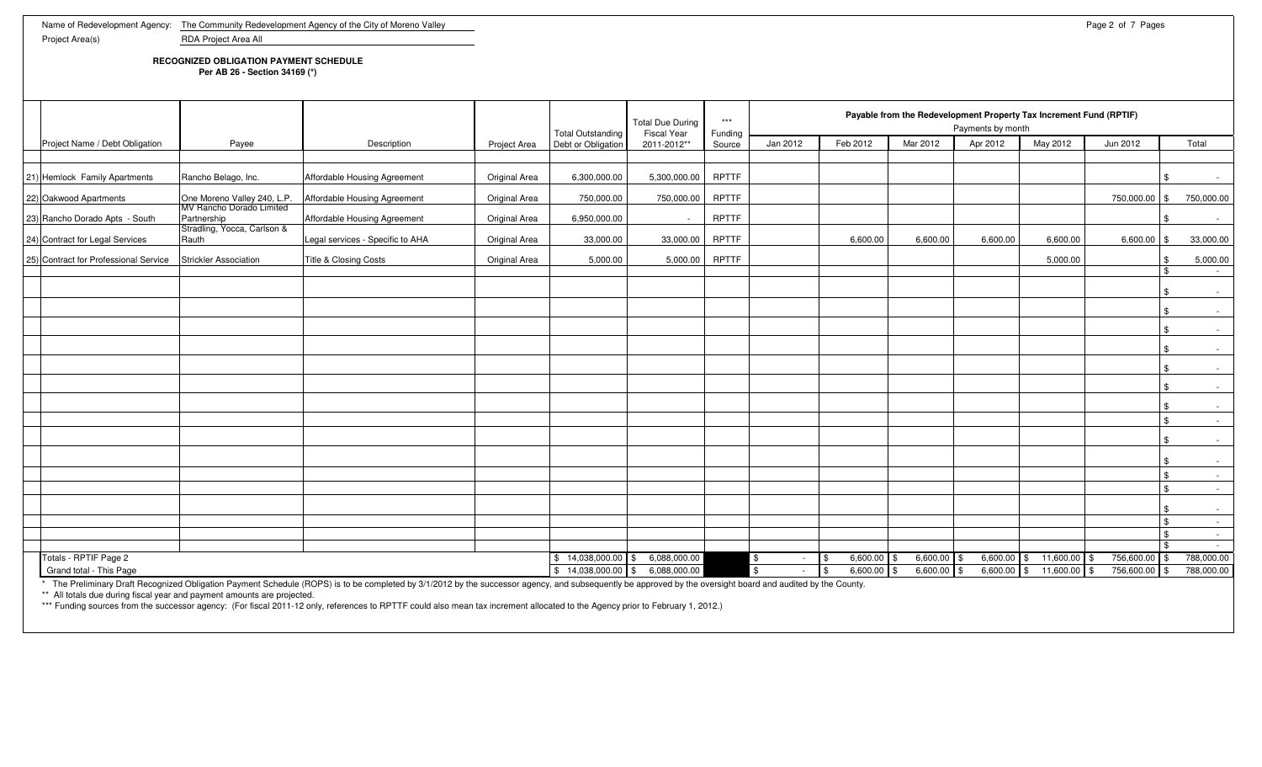**RECOGNIZED OBLIGATION PAYMENT SCHEDULE**

**Per AB 26 - Section 34169 (\*)**

|  |                                                  |                                                         |                                                                                                                                                                                                              |                      | <b>Total Outstanding</b> | <b>Total Due During</b><br><b>Fiscal Year</b> | $***$<br>Funding | Payable from the Redevelopment Property Tax Increment Fund (RPTIF)<br>Payments by month |                                   |                                |                           |                        |                             |          |                          |  |
|--|--------------------------------------------------|---------------------------------------------------------|--------------------------------------------------------------------------------------------------------------------------------------------------------------------------------------------------------------|----------------------|--------------------------|-----------------------------------------------|------------------|-----------------------------------------------------------------------------------------|-----------------------------------|--------------------------------|---------------------------|------------------------|-----------------------------|----------|--------------------------|--|
|  | Project Name / Debt Obligation                   | Payee                                                   | Description                                                                                                                                                                                                  | <b>Project Area</b>  | Debt or Obligation       | 2011-2012**                                   | Source           | Jan 2012                                                                                | Feb 2012                          | Mar 2012                       | Apr 2012                  | May 2012               | Jun 2012                    |          | Total                    |  |
|  |                                                  |                                                         |                                                                                                                                                                                                              |                      |                          |                                               |                  |                                                                                         |                                   |                                |                           |                        |                             |          |                          |  |
|  | 21) Hemlock Family Apartments                    | Rancho Belago, Inc.                                     | Affordable Housing Agreement                                                                                                                                                                                 | Original Area        | 6,300,000.00             | 5,300,000.00                                  | RPTTF            |                                                                                         |                                   |                                |                           |                        |                             |          | $\sim$ 100 $\mu$         |  |
|  | 22) Oakwood Apartments                           | One Moreno Valley 240, L.P.<br>MV Rancho Dorado Limited | Affordable Housing Agreement                                                                                                                                                                                 | <b>Original Area</b> | 750,000.00               | 750,000.00                                    | RPTTF            |                                                                                         |                                   |                                |                           |                        | 750,000.00 \$               |          | 750,000.00               |  |
|  | 23) Rancho Dorado Apts - South                   | Partnership                                             | Affordable Housing Agreement                                                                                                                                                                                 | Original Area        | 6,950,000.00             |                                               | <b>RPTTF</b>     |                                                                                         |                                   |                                |                           |                        |                             |          | $\sim$                   |  |
|  | 24) Contract for Legal Services                  | Stradling, Yocca, Carlson &<br>Rauth                    | Legal services - Specific to AHA                                                                                                                                                                             | Original Area        | 33,000.00                | 33,000.00                                     | RPTTF            |                                                                                         | 6,600.00                          | 6,600.00                       | 6,600.00                  | 6,600.00               | $6,600.00$ \$               |          | 33,000.00                |  |
|  | [25] Contract for Professional Service           | Strickler Association                                   | Title & Closing Costs                                                                                                                                                                                        | Original Area        | 5,000.00                 | 5,000.00                                      | RPTTF            |                                                                                         |                                   |                                |                           | 5,000.00               |                             |          | 5,000.00                 |  |
|  |                                                  |                                                         |                                                                                                                                                                                                              |                      |                          |                                               |                  |                                                                                         |                                   |                                |                           |                        |                             | \$       | $\sim$ $-$               |  |
|  |                                                  |                                                         |                                                                                                                                                                                                              |                      |                          |                                               |                  |                                                                                         |                                   |                                |                           |                        |                             | .ፍ       | $\sim$                   |  |
|  |                                                  |                                                         |                                                                                                                                                                                                              |                      |                          |                                               |                  |                                                                                         |                                   |                                |                           |                        |                             |          | $\sim$                   |  |
|  |                                                  |                                                         |                                                                                                                                                                                                              |                      |                          |                                               |                  |                                                                                         |                                   |                                |                           |                        |                             |          | $\sim$                   |  |
|  |                                                  |                                                         |                                                                                                                                                                                                              |                      |                          |                                               |                  |                                                                                         |                                   |                                |                           |                        |                             | -\$      | $\sim$                   |  |
|  |                                                  |                                                         |                                                                                                                                                                                                              |                      |                          |                                               |                  |                                                                                         |                                   |                                |                           |                        |                             | \$       | $\sim$                   |  |
|  |                                                  |                                                         |                                                                                                                                                                                                              |                      |                          |                                               |                  |                                                                                         |                                   |                                |                           |                        |                             |          | $\sim$                   |  |
|  |                                                  |                                                         |                                                                                                                                                                                                              |                      |                          |                                               |                  |                                                                                         |                                   |                                |                           |                        |                             |          | $\sim$                   |  |
|  |                                                  |                                                         |                                                                                                                                                                                                              |                      |                          |                                               |                  |                                                                                         |                                   |                                |                           |                        |                             | -\$      | $\sim$                   |  |
|  |                                                  |                                                         |                                                                                                                                                                                                              |                      |                          |                                               |                  |                                                                                         |                                   |                                |                           |                        |                             | -\$      | $\sim$                   |  |
|  |                                                  |                                                         |                                                                                                                                                                                                              |                      |                          |                                               |                  |                                                                                         |                                   |                                |                           |                        |                             | -\$      |                          |  |
|  |                                                  |                                                         |                                                                                                                                                                                                              |                      |                          |                                               |                  |                                                                                         |                                   |                                |                           |                        |                             | -\$      | $\sim$<br>$\sim$         |  |
|  |                                                  |                                                         |                                                                                                                                                                                                              |                      |                          |                                               |                  |                                                                                         |                                   |                                |                           |                        |                             | -\$      | $\sim$                   |  |
|  |                                                  |                                                         |                                                                                                                                                                                                              |                      |                          |                                               |                  |                                                                                         |                                   |                                |                           |                        |                             |          | $\sim$                   |  |
|  |                                                  |                                                         |                                                                                                                                                                                                              |                      |                          |                                               |                  |                                                                                         |                                   |                                |                           |                        |                             | \$       | $\sim$ $-$               |  |
|  |                                                  |                                                         |                                                                                                                                                                                                              |                      |                          |                                               |                  |                                                                                         |                                   |                                |                           |                        |                             | <b>S</b> | $\sim$                   |  |
|  |                                                  |                                                         |                                                                                                                                                                                                              |                      | $$14,038,000.00$ \\$     |                                               |                  |                                                                                         |                                   |                                |                           |                        |                             |          | $\sim$                   |  |
|  | Totals - RPTIF Page 2<br>Grand total - This Page |                                                         |                                                                                                                                                                                                              |                      |                          | 6,088,000.00<br>6,088,000.00                  |                  | \$<br>$\sim$                                                                            | $6,600.00$ \$<br>l \$<br>6,600.00 | $6,600.00$ \$<br>$6,600.00$ \$ | $6,600.00$ \$<br>6,600.00 | 11,600.00<br>11,600.00 | 756,600.00 \$<br>756,600.00 |          | 788,000.00<br>788,000.00 |  |
|  |                                                  |                                                         | * The Preliminary Draft Recognized Obligation Payment Schedule (ROPS) is to be completed by 3/1/2012 by the successor agency, and subsequently be approved by the oversight board and audited by the County. |                      | $$14,038,000.00$ \$      |                                               |                  |                                                                                         |                                   |                                |                           | S                      |                             |          |                          |  |

\*\* All totals due during fiscal year and payment amounts are projected.<br>\*\*\* Funding sources from the successor agency: (For fiscal 2011-12 only, references to RPTTF could also mean tax increment allocated to the Agency pri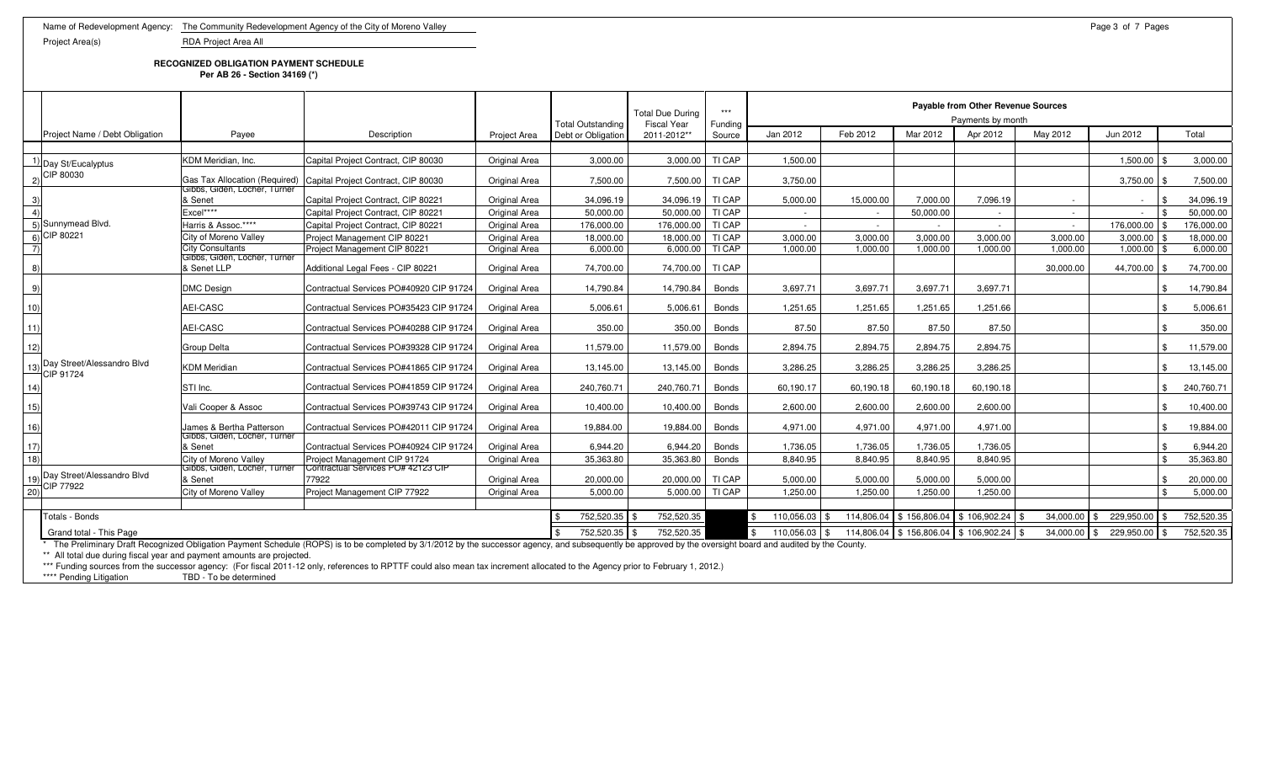**RECOGNIZED OBLIGATION PAYMENT SCHEDULE**

**Per AB 26 - Section 34169 (\*)**

|                   |                                                                        |                                             |                                                                                                                                                                                                              |                      | <b>Total Outstanding</b> | <b>Total Due During</b><br><b>Fiscal Year</b> | $***$<br>Funding | Payable from Other Revenue Sources<br>Payments by month |            |              |                              |           |                    |            |  |
|-------------------|------------------------------------------------------------------------|---------------------------------------------|--------------------------------------------------------------------------------------------------------------------------------------------------------------------------------------------------------------|----------------------|--------------------------|-----------------------------------------------|------------------|---------------------------------------------------------|------------|--------------|------------------------------|-----------|--------------------|------------|--|
|                   | Project Name / Debt Obligation                                         | Payee                                       | Description                                                                                                                                                                                                  | <b>Project Area</b>  | Debt or Obligation       | 2011-2012**                                   | Source           | Jan 2012                                                | Feb 2012   | Mar 2012     | Apr 2012                     | May 2012  | Jun 2012           | Total      |  |
|                   |                                                                        |                                             |                                                                                                                                                                                                              |                      |                          |                                               |                  |                                                         |            |              |                              |           |                    |            |  |
|                   | $\frac{1}{2}$ Day St/Eucalyptus                                        | KDM Meridian, Inc.                          | Capital Project Contract, CIP 80030                                                                                                                                                                          | Original Area        | 3,000.00                 | 3,000.00                                      | TI CAP           | 1,500.00                                                |            |              |                              |           | 1,500.00           | 3,000.00   |  |
| (2)               | CIP 80030                                                              | Gibbs, Giden, Locher, Turner                | Gas Tax Allocation (Required) Capital Project Contract, CIP 80030                                                                                                                                            | Original Area        | 7,500.00                 | 7,500.00                                      | TI CAP           | 3,750.00                                                |            |              |                              |           | 3,750.00           | 7,500.00   |  |
| 3)                |                                                                        | & Senet                                     | Capital Project Contract, CIP 80221                                                                                                                                                                          | Original Area        | 34.096.19                | 34.096.19                                     | TI CAP           | 5.000.00                                                | 15.000.00  | 7.000.00     | 7.096.19                     |           | $\sim$             | 34.096.19  |  |
| 4)                |                                                                        | Excel****                                   | Capital Project Contract. CIP 80221                                                                                                                                                                          | Original Area        | 50,000.00                | 50.000.00                                     | TI CAP           |                                                         | $\sim$     | 50,000.00    |                              | $\sim$    | $\sim$             | 50,000.00  |  |
|                   | 5) Sunnymead Blvd.                                                     | Harris & Assoc.****                         | Capital Project Contract. CIP 80221                                                                                                                                                                          | <b>Original Area</b> | 176,000.00               | 176.000.00                                    | TI CAP           | $\sim$                                                  | $\sim$     |              | $\sim$                       | $\sim$    | 176.000.00         | 176.000.00 |  |
|                   | $\overline{6)}$ CIP 80221                                              | City of Moreno Vallev                       | Project Management CIP 80221                                                                                                                                                                                 | Original Area        | 18,000.00                | 18,000.00                                     | TI CAP           | 3,000.00                                                | 3.000.00   | 3,000.00     | 3,000.00                     | 3.000.00  | 3,000.00           | 18,000.00  |  |
| $\left( 7\right)$ |                                                                        | <b>City Consultants</b>                     | Project Management CIP 80221                                                                                                                                                                                 | Original Area        | 6.000.00                 | 6,000.00                                      | TI CAP           | 1.000.00                                                | 1.000.00   | 1.000.00     | 1.000.00                     | 1.000.00  | 1.000.00           | 6,000.00   |  |
| 8)                |                                                                        | Gibbs, Giden, Locher, Turner<br>& Senet LLP | Additional Legal Fees - CIP 80221                                                                                                                                                                            | Original Area        | 74,700.00                | 74,700.00                                     | TI CAP           |                                                         |            |              |                              | 30,000.00 | 44,700.00          | 74,700.00  |  |
| 9)                |                                                                        | <b>DMC Design</b>                           | Contractual Services PO#40920 CIP 91724                                                                                                                                                                      | Original Area        | 14,790.84                | 14,790.84                                     | Bonds            | 3,697.71                                                | 3,697.71   | 3,697.71     | 3,697.71                     |           |                    | 14,790.84  |  |
| 10)               |                                                                        | AEI-CASC                                    | Contractual Services PO#35423 CIP 91724                                                                                                                                                                      | Original Area        | 5,006.61                 | 5,006.61                                      | Bonds            | 1,251.65                                                | 1,251.65   | 1,251.65     | 1,251.66                     |           |                    | 5,006.61   |  |
| 11)               |                                                                        | AEI-CASC                                    | Contractual Services PO#40288 CIP 91724                                                                                                                                                                      | Original Area        | 350.00                   | 350.00                                        | <b>Bonds</b>     | 87.50                                                   | 87.50      | 87.50        | 87.50                        |           |                    | 350.00     |  |
| 12)               | 13) Day Street/Alessandro Blvd<br>CIP 91724                            | Group Delta                                 | Contractual Services PO#39328 CIP 91724                                                                                                                                                                      | Original Area        | 11,579.00                | 11,579.00                                     | Bonds            | 2,894.75                                                | 2,894.75   | 2,894.75     | 2,894.75                     |           |                    | 11,579.00  |  |
|                   |                                                                        | <b>KDM Meridian</b>                         | Contractual Services PO#41865 CIP 91724                                                                                                                                                                      | Original Area        | 13,145.00                | 13,145.00                                     | Bonds            | 3,286.25                                                | 3,286.25   | 3,286.25     | 3,286.25                     |           |                    | 13,145.00  |  |
| 14)               |                                                                        | STI Inc.                                    | Contractual Services PO#41859 CIP 91724                                                                                                                                                                      | Original Area        | 240.760.71               | 240.760.71                                    | <b>Bonds</b>     | 60.190.17                                               | 60.190.18  | 60.190.18    | 60.190.18                    |           |                    | 240,760.71 |  |
| 15)               |                                                                        | Vali Cooper & Assoc                         | Contractual Services PO#39743 CIP 91724                                                                                                                                                                      | Original Area        | 10,400.00                | 10,400.00                                     | Bonds            | 2,600.00                                                | 2,600.00   | 2,600.00     | 2,600.00                     |           |                    | 10,400.00  |  |
| 16)               |                                                                        | James & Bertha Patterson                    | Contractual Services PO#42011 CIP 91724                                                                                                                                                                      | Original Area        | 19.884.00                | 19.884.00                                     | Bonds            | 4.971.00                                                | 4.971.00   | 4.971.00     | 4.971.00                     |           |                    | 19,884.00  |  |
| 17)               |                                                                        | Gibbs, Giden, Locher, Turner<br>& Senet     | Contractual Services PO#40924 CIP 91724                                                                                                                                                                      | Original Area        | 6,944.20                 | 6,944.20                                      | <b>Bonds</b>     | 1,736.05                                                | 1,736.05   | 1,736.05     | 1,736.05                     |           |                    | 6,944.20   |  |
| 18)               |                                                                        | City of Moreno Valley                       | Project Management CIP 91724                                                                                                                                                                                 | <b>Original Area</b> | 35.363.80                | 35,363.80                                     | <b>Bonds</b>     | 8.840.95                                                | 8.840.95   | 8.840.95     | 8.840.95                     |           |                    | 35.363.80  |  |
|                   | 19) Day Street/Alessandro Blvd<br>20) CIP 77922                        | Gibbs, Giden, Locher, Turner<br>& Senet     | Contractual Services PO# 42123 CIP<br>77922                                                                                                                                                                  | Original Area        | 20,000.00                | 20,000.00                                     | TI CAP           | 5,000.00                                                | 5,000.00   | 5,000.00     | 5,000.00                     |           |                    | 20,000.00  |  |
|                   |                                                                        | City of Moreno Valley                       | Project Management CIP 77922                                                                                                                                                                                 | Original Area        | 5.000.00                 | 5,000.00                                      | TI CAP           | 1,250.00                                                | 1.250.00   | 1.250.00     | 1.250.00                     |           |                    | 5,000.00   |  |
|                   | Totals - Bonds                                                         |                                             |                                                                                                                                                                                                              |                      | 752,520.35               | 752,520.35                                    |                  | 110,056.03<br>\$.                                       | 114,806.04 | \$156,806.04 | \$106,902.24                 | 34,000.00 | 229,950.00         | 752,520.35 |  |
|                   | Grand total - This Page                                                |                                             |                                                                                                                                                                                                              |                      | 752,520.35               | 752,520.35                                    |                  | 110,056.03                                              | 114,806.04 |              | \$156,806.04 \$106,902.24 \$ | 34,000.00 | 229,950.00<br>- \$ | 752,520.35 |  |
|                   | ** All total due during fiscal year and payment amounts are projected. |                                             | * The Preliminary Draft Recognized Obligation Payment Schedule (ROPS) is to be completed by 3/1/2012 by the successor agency, and subsequently be approved by the oversight board and audited by the County. |                      |                          |                                               |                  |                                                         |            |              |                              |           |                    |            |  |

\*\*\* Funding sources from the successor agency: (For fiscal 2011-12 only, references to RPTTF could also mean tax increment allocated to the Agency prior to February 1, 2012.)

\*\*\*\* Pending Litigation TBD - To be determined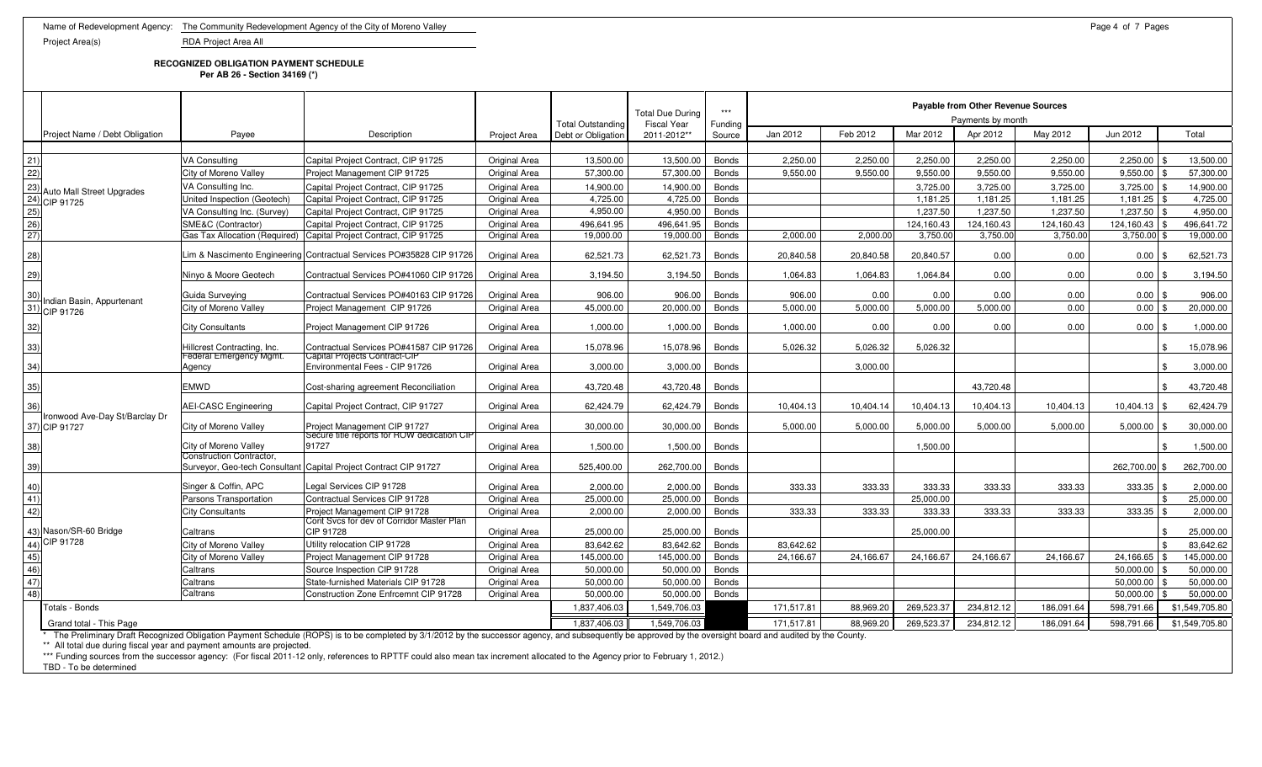**RECOGNIZED OBLIGATION PAYMENT SCHEDULE**

**Per AB 26 - Section 34169 (\*)**

| Jan 2012<br>Feb 2012<br>May 2012<br>Jun 2012<br>Project Name / Debt Obligation<br>Mar 2012<br>Apr 2012<br>Total<br>Payee<br>Description<br>Debt or Obligation<br>2011-2012**<br>Project Area<br>Source<br>$\frac{21}{22}$<br><b>VA Consulting</b><br>Capital Project Contract, CIP 91725<br>13,500.00<br>2,250.00<br>2,250.00<br>2,250.00<br>2,250.00<br>2,250.00<br>$2,250.00$ \$<br>Original Area<br>13,500.00<br><b>Bonds</b><br>57,300.00<br>57,300.00<br>9,550.00<br>9,550.00<br>9,550.00<br>9,550.00<br>9,550.00<br>9,550.00<br>City of Moreno Valley<br>Project Management CIP 91725<br>Original Area<br><b>Bonds</b><br>$\begin{array}{l} \underline{23)} \text{Auto Mail S} \\ \underline{24)} \text{CIP 91725} \\ \underline{25)} \\ \underline{26)} \\ \underline{27)} \end{array}$<br>14,900.00<br>14,900.00<br>3,725.00<br>3,725.00<br>3,725.00<br>$3,725.00$ \$<br>VA Consulting Inc.<br>Capital Project Contract, CIP 91725<br>Original Area<br><b>Bonds</b><br>Auto Mall Street Upgrades<br>4,725.00<br>4.725.00<br>United Inspection (Geotech)<br>Capital Project Contract, CIP 91725<br>Original Area<br><b>Bonds</b><br>1,181.25<br>1,181.25<br>1.181.25<br>1.181.25<br>4,950.00<br>Capital Project Contract, CIP 91725<br>4.950.00<br>1,237.50<br>1,237.50<br>1,237.50<br>1,237.50 \$<br>VA Consulting Inc. (Survey)<br>Original Area<br><b>Bonds</b><br>SME&C (Contractor)<br><b>Bonds</b><br>124,160.43<br>Capital Project Contract, CIP 91725<br>496,641.95<br>496,641.95<br>124,160.43<br>124,160.43<br>124,160.43<br>Original Area<br>Gas Tax Allocation (Required) Capital Project Contract, CIP 91725<br>19,000.00<br>19,000.00<br><b>Bonds</b><br>2,000.00<br>2.000.00<br>3,750.00<br>3,750.00<br>3,750.00<br>3,750.00 \$<br>Original Area<br>28)<br>Lim & Nascimento Engineering Contractual Services PO#35828 CIP 91726<br>Original Area<br>62.521.73<br>62,521.73<br><b>Bonds</b><br>20.840.58<br>20.840.58<br>20,840.57<br>0.00<br>0.00<br>0.00<br>29)<br>Ninyo & Moore Geotech<br>Contractual Services PO#41060 CIP 91726<br>1,064.83<br>0.00<br>0.00<br>Original Area<br>3,194.50<br>3,194.50<br><b>Bonds</b><br>1.064.83<br>1,064.84<br>0.00<br>0.00<br>$\frac{30}{31}$<br>Guida Surveving<br>Contractual Services PO#40163 CIP 91726<br><b>Original Area</b><br>906.00<br>906.00<br><b>Bonds</b><br>906.00<br>0.00<br>0.00<br>0.00<br>$0.00$ \ \$<br>Indian Basin, Appurtenant<br>45,000.00<br>20,000.00<br>5,000.00<br>5,000.00<br>5,000.00<br>5,000.00<br>0.00<br>0.00<br>20,000.00<br>City of Moreno Valley<br>Project Management CIP 91726<br>Original Area<br><b>Bonds</b><br>CIP 91726<br>32)<br><b>City Consultants</b><br>Project Management CIP 91726<br>0.00<br>0.00<br>0.00<br>0.00<br>Original Area<br>1,000.00<br>1,000.00<br><b>Bonds</b><br>1,000.00<br>0.00<br>33)<br>Hillcrest Contracting, Inc.<br>Contractual Services PO#41587 CIP 91726<br>Original Area<br>15,078.96<br>15,078.96<br>5.026.32<br>5.026.32<br>5.026.32<br><b>Bonds</b><br>Federal Emergency Mgmt.<br>Capital Projects Contract-CIP<br>34)<br>Environmental Fees - CIP 91726<br><b>Bonds</b><br>Original Area<br>3,000.00<br>3,000.00<br>3,000.00<br>Agency<br>35)<br><b>EMWD</b><br>43,720.48<br>43,720.48<br>43,720.48<br>Cost-sharing agreement Reconciliation<br>Original Area<br><b>Bonds</b><br>\$<br>36)<br>Capital Project Contract, CIP 91727<br><b>AEI-CASC Engineering</b><br>62.424.79<br>62,424.79<br>10.404.13<br>10.404.14<br>10.404.13<br>10,404.13<br>10.404.13<br>Original Area<br><b>Bonds</b><br>10.404.13<br>Ironwood Ave-Day St/Barclay Dr<br>37) CIP 91727<br>Project Management CIP 91727<br>Original Area<br>30,000.00<br>5,000.00<br>5,000.00<br>5,000.00<br>City of Moreno Valley<br>30,000.00<br><b>Bonds</b><br>5,000.00<br>5,000.00<br>5,000.00<br>Secure title reports for ROW dedication CIP<br>38)<br>91727<br>1.500.00<br>1.500.00<br>1,500.00<br>City of Moreno Valley<br>Original Area<br>1.500.00<br><b>Bonds</b><br>$\mathcal{L}$<br>Construction Contractor,<br>39)<br>Surveyor, Geo-tech Consultant Capital Project Contract CIP 91727<br>Original Area<br>525,400.00<br>262,700.00<br><b>Bonds</b><br>262,700.00 \$<br>262,700.00<br>$\frac{40}{41}$<br>$\frac{41}{42}$<br>Singer & Coffin, APC<br>egal Services CIP 91728<br>2,000.00<br>2,000.00<br><b>Bonds</b><br>333.33<br>333.33<br>333.33<br>333.33<br>333.33<br>333.35<br>Original Area<br>Parsons Transportation<br>Contractual Services CIP 91728<br><b>Bonds</b><br>25.000.00<br>Original Area<br>25,000.00<br>25,000.00<br>25.000.00<br>Project Management CIP 91728<br>2,000.00<br>2,000.00<br>333.33<br>333.33<br>333.33<br>333.33<br>333.33<br>333.35<br><b>Bonds</b><br>2,000.00<br><b>City Consultants</b><br>Original Area<br>Cont Svcs for dev of Corridor Master Plan<br>$\frac{(43)}{(44)}$ CIP 91728<br>45)<br>46)<br>47)<br>48)<br>CIP 91728<br>25.000.00<br>Caltrans<br>25.000.00<br><b>Bonds</b><br>25.000.00<br>Original Area<br>Utility relocation CIP 91728<br>City of Moreno Valley<br>83.642.62<br>83.642.62<br><b>Bonds</b><br>83.642.62<br>Original Area<br>Project Management CIP 91728<br>145,000.00<br>145,000.00<br><b>Bonds</b><br>24,166.67<br>24,166.67<br>24,166.67<br>24.166.67<br>24,166.67<br>24,166.65<br>145.000.00<br>City of Moreno Valley<br>Original Area<br>Caltrans<br>Source Inspection CIP 91728<br>50.000.00<br>50.000.00<br><b>Bonds</b><br>50.000.00<br>50.000.00<br><b>Original Area</b><br>Caltrans<br>State-furnished Materials CIP 91728<br>50,000.00<br>50,000.00<br><b>Bonds</b><br>50,000.00<br>Original Area<br>Caltrans<br>Construction Zone Enfrcemnt CIP 91728<br>50,000.00<br>50,000.00<br><b>Bonds</b><br>50,000.00<br>50,000.00<br>Original Area<br>269,523.3<br>\$1,549,705.80<br>1,837,406.03<br>1,549,706.03<br>171,517.81<br>88,969.20<br>234,812.12<br>186,091.64<br>598,791.66<br>Totals - Bonds<br>1,837,406.03<br>1,549,706.03<br>171,517.81<br>88,969.20<br>269,523.37<br>234,812.12<br>598.791.66<br>Grand total - This Page<br>186.091.64<br>* The Preliminary Draft Recognized Obligation Payment Schedule (ROPS) is to be completed by 3/1/2012 by the successor agency and subsequently be approved by the oversight board and audited by the County |  |  |  | <b>Total Outstanding</b> | <b>Total Due During</b><br><b>Fiscal Year</b> | $\star\star\star$<br>Funding |  | Payable from Other Revenue Sources<br>Payments by month |  |                |
|-----------------------------------------------------------------------------------------------------------------------------------------------------------------------------------------------------------------------------------------------------------------------------------------------------------------------------------------------------------------------------------------------------------------------------------------------------------------------------------------------------------------------------------------------------------------------------------------------------------------------------------------------------------------------------------------------------------------------------------------------------------------------------------------------------------------------------------------------------------------------------------------------------------------------------------------------------------------------------------------------------------------------------------------------------------------------------------------------------------------------------------------------------------------------------------------------------------------------------------------------------------------------------------------------------------------------------------------------------------------------------------------------------------------------------------------------------------------------------------------------------------------------------------------------------------------------------------------------------------------------------------------------------------------------------------------------------------------------------------------------------------------------------------------------------------------------------------------------------------------------------------------------------------------------------------------------------------------------------------------------------------------------------------------------------------------------------------------------------------------------------------------------------------------------------------------------------------------------------------------------------------------------------------------------------------------------------------------------------------------------------------------------------------------------------------------------------------------------------------------------------------------------------------------------------------------------------------------------------------------------------------------------------------------------------------------------------------------------------------------------------------------------------------------------------------------------------------------------------------------------------------------------------------------------------------------------------------------------------------------------------------------------------------------------------------------------------------------------------------------------------------------------------------------------------------------------------------------------------------------------------------------------------------------------------------------------------------------------------------------------------------------------------------------------------------------------------------------------------------------------------------------------------------------------------------------------------------------------------------------------------------------------------------------------------------------------------------------------------------------------------------------------------------------------------------------------------------------------------------------------------------------------------------------------------------------------------------------------------------------------------------------------------------------------------------------------------------------------------------------------------------------------------------------------------------------------------------------------------------------------------------------------------------------------------------------------------------------------------------------------------------------------------------------------------------------------------------------------------------------------------------------------------------------------------------------------------------------------------------------------------------------------------------------------------------------------------------------------------------------------------------------------------------------------------------------------------------------------------------------------------------------------------------------------------------------------------------------------------------------------------------------------------------------------------------------------------------------------------------------------------------------------------------------------------------------------------------------------------------------------------------------------------------------------------------------------------------------------------------------------------------------------------------------------------------------------------------------------------------------------------------------------------------------------------------------------------------------------------------------------------------------------------------------------------------------------------------------------------------------------------------------------------------------------------------------------------------------------------------------------------------------------------------------------------------------------------------------------------------------------------------------------------------------------------------------------------------------------------------------------------------------------------------------------------------------------------------------------------------------------------------|--|--|--|--------------------------|-----------------------------------------------|------------------------------|--|---------------------------------------------------------|--|----------------|
|                                                                                                                                                                                                                                                                                                                                                                                                                                                                                                                                                                                                                                                                                                                                                                                                                                                                                                                                                                                                                                                                                                                                                                                                                                                                                                                                                                                                                                                                                                                                                                                                                                                                                                                                                                                                                                                                                                                                                                                                                                                                                                                                                                                                                                                                                                                                                                                                                                                                                                                                                                                                                                                                                                                                                                                                                                                                                                                                                                                                                                                                                                                                                                                                                                                                                                                                                                                                                                                                                                                                                                                                                                                                                                                                                                                                                                                                                                                                                                                                                                                                                                                                                                                                                                                                                                                                                                                                                                                                                                                                                                                                                                                                                                                                                                                                                                                                                                                                                                                                                                                                                                                                                                                                                                                                                                                                                                                                                                                                                                                                                                                                                                                                                                                                                                                                                                                                                                                                                                                                                                                                                                                                                                                                                                                           |  |  |  |                          |                                               |                              |  |                                                         |  |                |
|                                                                                                                                                                                                                                                                                                                                                                                                                                                                                                                                                                                                                                                                                                                                                                                                                                                                                                                                                                                                                                                                                                                                                                                                                                                                                                                                                                                                                                                                                                                                                                                                                                                                                                                                                                                                                                                                                                                                                                                                                                                                                                                                                                                                                                                                                                                                                                                                                                                                                                                                                                                                                                                                                                                                                                                                                                                                                                                                                                                                                                                                                                                                                                                                                                                                                                                                                                                                                                                                                                                                                                                                                                                                                                                                                                                                                                                                                                                                                                                                                                                                                                                                                                                                                                                                                                                                                                                                                                                                                                                                                                                                                                                                                                                                                                                                                                                                                                                                                                                                                                                                                                                                                                                                                                                                                                                                                                                                                                                                                                                                                                                                                                                                                                                                                                                                                                                                                                                                                                                                                                                                                                                                                                                                                                                           |  |  |  |                          |                                               |                              |  |                                                         |  |                |
|                                                                                                                                                                                                                                                                                                                                                                                                                                                                                                                                                                                                                                                                                                                                                                                                                                                                                                                                                                                                                                                                                                                                                                                                                                                                                                                                                                                                                                                                                                                                                                                                                                                                                                                                                                                                                                                                                                                                                                                                                                                                                                                                                                                                                                                                                                                                                                                                                                                                                                                                                                                                                                                                                                                                                                                                                                                                                                                                                                                                                                                                                                                                                                                                                                                                                                                                                                                                                                                                                                                                                                                                                                                                                                                                                                                                                                                                                                                                                                                                                                                                                                                                                                                                                                                                                                                                                                                                                                                                                                                                                                                                                                                                                                                                                                                                                                                                                                                                                                                                                                                                                                                                                                                                                                                                                                                                                                                                                                                                                                                                                                                                                                                                                                                                                                                                                                                                                                                                                                                                                                                                                                                                                                                                                                                           |  |  |  |                          |                                               |                              |  |                                                         |  | 13,500.00      |
|                                                                                                                                                                                                                                                                                                                                                                                                                                                                                                                                                                                                                                                                                                                                                                                                                                                                                                                                                                                                                                                                                                                                                                                                                                                                                                                                                                                                                                                                                                                                                                                                                                                                                                                                                                                                                                                                                                                                                                                                                                                                                                                                                                                                                                                                                                                                                                                                                                                                                                                                                                                                                                                                                                                                                                                                                                                                                                                                                                                                                                                                                                                                                                                                                                                                                                                                                                                                                                                                                                                                                                                                                                                                                                                                                                                                                                                                                                                                                                                                                                                                                                                                                                                                                                                                                                                                                                                                                                                                                                                                                                                                                                                                                                                                                                                                                                                                                                                                                                                                                                                                                                                                                                                                                                                                                                                                                                                                                                                                                                                                                                                                                                                                                                                                                                                                                                                                                                                                                                                                                                                                                                                                                                                                                                                           |  |  |  |                          |                                               |                              |  |                                                         |  | 57,300.00      |
|                                                                                                                                                                                                                                                                                                                                                                                                                                                                                                                                                                                                                                                                                                                                                                                                                                                                                                                                                                                                                                                                                                                                                                                                                                                                                                                                                                                                                                                                                                                                                                                                                                                                                                                                                                                                                                                                                                                                                                                                                                                                                                                                                                                                                                                                                                                                                                                                                                                                                                                                                                                                                                                                                                                                                                                                                                                                                                                                                                                                                                                                                                                                                                                                                                                                                                                                                                                                                                                                                                                                                                                                                                                                                                                                                                                                                                                                                                                                                                                                                                                                                                                                                                                                                                                                                                                                                                                                                                                                                                                                                                                                                                                                                                                                                                                                                                                                                                                                                                                                                                                                                                                                                                                                                                                                                                                                                                                                                                                                                                                                                                                                                                                                                                                                                                                                                                                                                                                                                                                                                                                                                                                                                                                                                                                           |  |  |  |                          |                                               |                              |  |                                                         |  | 14,900.00      |
|                                                                                                                                                                                                                                                                                                                                                                                                                                                                                                                                                                                                                                                                                                                                                                                                                                                                                                                                                                                                                                                                                                                                                                                                                                                                                                                                                                                                                                                                                                                                                                                                                                                                                                                                                                                                                                                                                                                                                                                                                                                                                                                                                                                                                                                                                                                                                                                                                                                                                                                                                                                                                                                                                                                                                                                                                                                                                                                                                                                                                                                                                                                                                                                                                                                                                                                                                                                                                                                                                                                                                                                                                                                                                                                                                                                                                                                                                                                                                                                                                                                                                                                                                                                                                                                                                                                                                                                                                                                                                                                                                                                                                                                                                                                                                                                                                                                                                                                                                                                                                                                                                                                                                                                                                                                                                                                                                                                                                                                                                                                                                                                                                                                                                                                                                                                                                                                                                                                                                                                                                                                                                                                                                                                                                                                           |  |  |  |                          |                                               |                              |  |                                                         |  | 4,725.00       |
|                                                                                                                                                                                                                                                                                                                                                                                                                                                                                                                                                                                                                                                                                                                                                                                                                                                                                                                                                                                                                                                                                                                                                                                                                                                                                                                                                                                                                                                                                                                                                                                                                                                                                                                                                                                                                                                                                                                                                                                                                                                                                                                                                                                                                                                                                                                                                                                                                                                                                                                                                                                                                                                                                                                                                                                                                                                                                                                                                                                                                                                                                                                                                                                                                                                                                                                                                                                                                                                                                                                                                                                                                                                                                                                                                                                                                                                                                                                                                                                                                                                                                                                                                                                                                                                                                                                                                                                                                                                                                                                                                                                                                                                                                                                                                                                                                                                                                                                                                                                                                                                                                                                                                                                                                                                                                                                                                                                                                                                                                                                                                                                                                                                                                                                                                                                                                                                                                                                                                                                                                                                                                                                                                                                                                                                           |  |  |  |                          |                                               |                              |  |                                                         |  | 4,950.00       |
|                                                                                                                                                                                                                                                                                                                                                                                                                                                                                                                                                                                                                                                                                                                                                                                                                                                                                                                                                                                                                                                                                                                                                                                                                                                                                                                                                                                                                                                                                                                                                                                                                                                                                                                                                                                                                                                                                                                                                                                                                                                                                                                                                                                                                                                                                                                                                                                                                                                                                                                                                                                                                                                                                                                                                                                                                                                                                                                                                                                                                                                                                                                                                                                                                                                                                                                                                                                                                                                                                                                                                                                                                                                                                                                                                                                                                                                                                                                                                                                                                                                                                                                                                                                                                                                                                                                                                                                                                                                                                                                                                                                                                                                                                                                                                                                                                                                                                                                                                                                                                                                                                                                                                                                                                                                                                                                                                                                                                                                                                                                                                                                                                                                                                                                                                                                                                                                                                                                                                                                                                                                                                                                                                                                                                                                           |  |  |  |                          |                                               |                              |  |                                                         |  | 496,641.72     |
|                                                                                                                                                                                                                                                                                                                                                                                                                                                                                                                                                                                                                                                                                                                                                                                                                                                                                                                                                                                                                                                                                                                                                                                                                                                                                                                                                                                                                                                                                                                                                                                                                                                                                                                                                                                                                                                                                                                                                                                                                                                                                                                                                                                                                                                                                                                                                                                                                                                                                                                                                                                                                                                                                                                                                                                                                                                                                                                                                                                                                                                                                                                                                                                                                                                                                                                                                                                                                                                                                                                                                                                                                                                                                                                                                                                                                                                                                                                                                                                                                                                                                                                                                                                                                                                                                                                                                                                                                                                                                                                                                                                                                                                                                                                                                                                                                                                                                                                                                                                                                                                                                                                                                                                                                                                                                                                                                                                                                                                                                                                                                                                                                                                                                                                                                                                                                                                                                                                                                                                                                                                                                                                                                                                                                                                           |  |  |  |                          |                                               |                              |  |                                                         |  | 19.000.00      |
|                                                                                                                                                                                                                                                                                                                                                                                                                                                                                                                                                                                                                                                                                                                                                                                                                                                                                                                                                                                                                                                                                                                                                                                                                                                                                                                                                                                                                                                                                                                                                                                                                                                                                                                                                                                                                                                                                                                                                                                                                                                                                                                                                                                                                                                                                                                                                                                                                                                                                                                                                                                                                                                                                                                                                                                                                                                                                                                                                                                                                                                                                                                                                                                                                                                                                                                                                                                                                                                                                                                                                                                                                                                                                                                                                                                                                                                                                                                                                                                                                                                                                                                                                                                                                                                                                                                                                                                                                                                                                                                                                                                                                                                                                                                                                                                                                                                                                                                                                                                                                                                                                                                                                                                                                                                                                                                                                                                                                                                                                                                                                                                                                                                                                                                                                                                                                                                                                                                                                                                                                                                                                                                                                                                                                                                           |  |  |  |                          |                                               |                              |  |                                                         |  | 62,521.73      |
|                                                                                                                                                                                                                                                                                                                                                                                                                                                                                                                                                                                                                                                                                                                                                                                                                                                                                                                                                                                                                                                                                                                                                                                                                                                                                                                                                                                                                                                                                                                                                                                                                                                                                                                                                                                                                                                                                                                                                                                                                                                                                                                                                                                                                                                                                                                                                                                                                                                                                                                                                                                                                                                                                                                                                                                                                                                                                                                                                                                                                                                                                                                                                                                                                                                                                                                                                                                                                                                                                                                                                                                                                                                                                                                                                                                                                                                                                                                                                                                                                                                                                                                                                                                                                                                                                                                                                                                                                                                                                                                                                                                                                                                                                                                                                                                                                                                                                                                                                                                                                                                                                                                                                                                                                                                                                                                                                                                                                                                                                                                                                                                                                                                                                                                                                                                                                                                                                                                                                                                                                                                                                                                                                                                                                                                           |  |  |  |                          |                                               |                              |  |                                                         |  | 3,194.50       |
|                                                                                                                                                                                                                                                                                                                                                                                                                                                                                                                                                                                                                                                                                                                                                                                                                                                                                                                                                                                                                                                                                                                                                                                                                                                                                                                                                                                                                                                                                                                                                                                                                                                                                                                                                                                                                                                                                                                                                                                                                                                                                                                                                                                                                                                                                                                                                                                                                                                                                                                                                                                                                                                                                                                                                                                                                                                                                                                                                                                                                                                                                                                                                                                                                                                                                                                                                                                                                                                                                                                                                                                                                                                                                                                                                                                                                                                                                                                                                                                                                                                                                                                                                                                                                                                                                                                                                                                                                                                                                                                                                                                                                                                                                                                                                                                                                                                                                                                                                                                                                                                                                                                                                                                                                                                                                                                                                                                                                                                                                                                                                                                                                                                                                                                                                                                                                                                                                                                                                                                                                                                                                                                                                                                                                                                           |  |  |  |                          |                                               |                              |  |                                                         |  | 906.00         |
|                                                                                                                                                                                                                                                                                                                                                                                                                                                                                                                                                                                                                                                                                                                                                                                                                                                                                                                                                                                                                                                                                                                                                                                                                                                                                                                                                                                                                                                                                                                                                                                                                                                                                                                                                                                                                                                                                                                                                                                                                                                                                                                                                                                                                                                                                                                                                                                                                                                                                                                                                                                                                                                                                                                                                                                                                                                                                                                                                                                                                                                                                                                                                                                                                                                                                                                                                                                                                                                                                                                                                                                                                                                                                                                                                                                                                                                                                                                                                                                                                                                                                                                                                                                                                                                                                                                                                                                                                                                                                                                                                                                                                                                                                                                                                                                                                                                                                                                                                                                                                                                                                                                                                                                                                                                                                                                                                                                                                                                                                                                                                                                                                                                                                                                                                                                                                                                                                                                                                                                                                                                                                                                                                                                                                                                           |  |  |  |                          |                                               |                              |  |                                                         |  |                |
|                                                                                                                                                                                                                                                                                                                                                                                                                                                                                                                                                                                                                                                                                                                                                                                                                                                                                                                                                                                                                                                                                                                                                                                                                                                                                                                                                                                                                                                                                                                                                                                                                                                                                                                                                                                                                                                                                                                                                                                                                                                                                                                                                                                                                                                                                                                                                                                                                                                                                                                                                                                                                                                                                                                                                                                                                                                                                                                                                                                                                                                                                                                                                                                                                                                                                                                                                                                                                                                                                                                                                                                                                                                                                                                                                                                                                                                                                                                                                                                                                                                                                                                                                                                                                                                                                                                                                                                                                                                                                                                                                                                                                                                                                                                                                                                                                                                                                                                                                                                                                                                                                                                                                                                                                                                                                                                                                                                                                                                                                                                                                                                                                                                                                                                                                                                                                                                                                                                                                                                                                                                                                                                                                                                                                                                           |  |  |  |                          |                                               |                              |  |                                                         |  | 1,000.00       |
|                                                                                                                                                                                                                                                                                                                                                                                                                                                                                                                                                                                                                                                                                                                                                                                                                                                                                                                                                                                                                                                                                                                                                                                                                                                                                                                                                                                                                                                                                                                                                                                                                                                                                                                                                                                                                                                                                                                                                                                                                                                                                                                                                                                                                                                                                                                                                                                                                                                                                                                                                                                                                                                                                                                                                                                                                                                                                                                                                                                                                                                                                                                                                                                                                                                                                                                                                                                                                                                                                                                                                                                                                                                                                                                                                                                                                                                                                                                                                                                                                                                                                                                                                                                                                                                                                                                                                                                                                                                                                                                                                                                                                                                                                                                                                                                                                                                                                                                                                                                                                                                                                                                                                                                                                                                                                                                                                                                                                                                                                                                                                                                                                                                                                                                                                                                                                                                                                                                                                                                                                                                                                                                                                                                                                                                           |  |  |  |                          |                                               |                              |  |                                                         |  | 15,078.96      |
|                                                                                                                                                                                                                                                                                                                                                                                                                                                                                                                                                                                                                                                                                                                                                                                                                                                                                                                                                                                                                                                                                                                                                                                                                                                                                                                                                                                                                                                                                                                                                                                                                                                                                                                                                                                                                                                                                                                                                                                                                                                                                                                                                                                                                                                                                                                                                                                                                                                                                                                                                                                                                                                                                                                                                                                                                                                                                                                                                                                                                                                                                                                                                                                                                                                                                                                                                                                                                                                                                                                                                                                                                                                                                                                                                                                                                                                                                                                                                                                                                                                                                                                                                                                                                                                                                                                                                                                                                                                                                                                                                                                                                                                                                                                                                                                                                                                                                                                                                                                                                                                                                                                                                                                                                                                                                                                                                                                                                                                                                                                                                                                                                                                                                                                                                                                                                                                                                                                                                                                                                                                                                                                                                                                                                                                           |  |  |  |                          |                                               |                              |  |                                                         |  | 3,000.00       |
|                                                                                                                                                                                                                                                                                                                                                                                                                                                                                                                                                                                                                                                                                                                                                                                                                                                                                                                                                                                                                                                                                                                                                                                                                                                                                                                                                                                                                                                                                                                                                                                                                                                                                                                                                                                                                                                                                                                                                                                                                                                                                                                                                                                                                                                                                                                                                                                                                                                                                                                                                                                                                                                                                                                                                                                                                                                                                                                                                                                                                                                                                                                                                                                                                                                                                                                                                                                                                                                                                                                                                                                                                                                                                                                                                                                                                                                                                                                                                                                                                                                                                                                                                                                                                                                                                                                                                                                                                                                                                                                                                                                                                                                                                                                                                                                                                                                                                                                                                                                                                                                                                                                                                                                                                                                                                                                                                                                                                                                                                                                                                                                                                                                                                                                                                                                                                                                                                                                                                                                                                                                                                                                                                                                                                                                           |  |  |  |                          |                                               |                              |  |                                                         |  | 43,720.48      |
|                                                                                                                                                                                                                                                                                                                                                                                                                                                                                                                                                                                                                                                                                                                                                                                                                                                                                                                                                                                                                                                                                                                                                                                                                                                                                                                                                                                                                                                                                                                                                                                                                                                                                                                                                                                                                                                                                                                                                                                                                                                                                                                                                                                                                                                                                                                                                                                                                                                                                                                                                                                                                                                                                                                                                                                                                                                                                                                                                                                                                                                                                                                                                                                                                                                                                                                                                                                                                                                                                                                                                                                                                                                                                                                                                                                                                                                                                                                                                                                                                                                                                                                                                                                                                                                                                                                                                                                                                                                                                                                                                                                                                                                                                                                                                                                                                                                                                                                                                                                                                                                                                                                                                                                                                                                                                                                                                                                                                                                                                                                                                                                                                                                                                                                                                                                                                                                                                                                                                                                                                                                                                                                                                                                                                                                           |  |  |  |                          |                                               |                              |  |                                                         |  | 62,424.79      |
|                                                                                                                                                                                                                                                                                                                                                                                                                                                                                                                                                                                                                                                                                                                                                                                                                                                                                                                                                                                                                                                                                                                                                                                                                                                                                                                                                                                                                                                                                                                                                                                                                                                                                                                                                                                                                                                                                                                                                                                                                                                                                                                                                                                                                                                                                                                                                                                                                                                                                                                                                                                                                                                                                                                                                                                                                                                                                                                                                                                                                                                                                                                                                                                                                                                                                                                                                                                                                                                                                                                                                                                                                                                                                                                                                                                                                                                                                                                                                                                                                                                                                                                                                                                                                                                                                                                                                                                                                                                                                                                                                                                                                                                                                                                                                                                                                                                                                                                                                                                                                                                                                                                                                                                                                                                                                                                                                                                                                                                                                                                                                                                                                                                                                                                                                                                                                                                                                                                                                                                                                                                                                                                                                                                                                                                           |  |  |  |                          |                                               |                              |  |                                                         |  | 30,000.00      |
|                                                                                                                                                                                                                                                                                                                                                                                                                                                                                                                                                                                                                                                                                                                                                                                                                                                                                                                                                                                                                                                                                                                                                                                                                                                                                                                                                                                                                                                                                                                                                                                                                                                                                                                                                                                                                                                                                                                                                                                                                                                                                                                                                                                                                                                                                                                                                                                                                                                                                                                                                                                                                                                                                                                                                                                                                                                                                                                                                                                                                                                                                                                                                                                                                                                                                                                                                                                                                                                                                                                                                                                                                                                                                                                                                                                                                                                                                                                                                                                                                                                                                                                                                                                                                                                                                                                                                                                                                                                                                                                                                                                                                                                                                                                                                                                                                                                                                                                                                                                                                                                                                                                                                                                                                                                                                                                                                                                                                                                                                                                                                                                                                                                                                                                                                                                                                                                                                                                                                                                                                                                                                                                                                                                                                                                           |  |  |  |                          |                                               |                              |  |                                                         |  |                |
|                                                                                                                                                                                                                                                                                                                                                                                                                                                                                                                                                                                                                                                                                                                                                                                                                                                                                                                                                                                                                                                                                                                                                                                                                                                                                                                                                                                                                                                                                                                                                                                                                                                                                                                                                                                                                                                                                                                                                                                                                                                                                                                                                                                                                                                                                                                                                                                                                                                                                                                                                                                                                                                                                                                                                                                                                                                                                                                                                                                                                                                                                                                                                                                                                                                                                                                                                                                                                                                                                                                                                                                                                                                                                                                                                                                                                                                                                                                                                                                                                                                                                                                                                                                                                                                                                                                                                                                                                                                                                                                                                                                                                                                                                                                                                                                                                                                                                                                                                                                                                                                                                                                                                                                                                                                                                                                                                                                                                                                                                                                                                                                                                                                                                                                                                                                                                                                                                                                                                                                                                                                                                                                                                                                                                                                           |  |  |  |                          |                                               |                              |  |                                                         |  |                |
|                                                                                                                                                                                                                                                                                                                                                                                                                                                                                                                                                                                                                                                                                                                                                                                                                                                                                                                                                                                                                                                                                                                                                                                                                                                                                                                                                                                                                                                                                                                                                                                                                                                                                                                                                                                                                                                                                                                                                                                                                                                                                                                                                                                                                                                                                                                                                                                                                                                                                                                                                                                                                                                                                                                                                                                                                                                                                                                                                                                                                                                                                                                                                                                                                                                                                                                                                                                                                                                                                                                                                                                                                                                                                                                                                                                                                                                                                                                                                                                                                                                                                                                                                                                                                                                                                                                                                                                                                                                                                                                                                                                                                                                                                                                                                                                                                                                                                                                                                                                                                                                                                                                                                                                                                                                                                                                                                                                                                                                                                                                                                                                                                                                                                                                                                                                                                                                                                                                                                                                                                                                                                                                                                                                                                                                           |  |  |  |                          |                                               |                              |  |                                                         |  |                |
|                                                                                                                                                                                                                                                                                                                                                                                                                                                                                                                                                                                                                                                                                                                                                                                                                                                                                                                                                                                                                                                                                                                                                                                                                                                                                                                                                                                                                                                                                                                                                                                                                                                                                                                                                                                                                                                                                                                                                                                                                                                                                                                                                                                                                                                                                                                                                                                                                                                                                                                                                                                                                                                                                                                                                                                                                                                                                                                                                                                                                                                                                                                                                                                                                                                                                                                                                                                                                                                                                                                                                                                                                                                                                                                                                                                                                                                                                                                                                                                                                                                                                                                                                                                                                                                                                                                                                                                                                                                                                                                                                                                                                                                                                                                                                                                                                                                                                                                                                                                                                                                                                                                                                                                                                                                                                                                                                                                                                                                                                                                                                                                                                                                                                                                                                                                                                                                                                                                                                                                                                                                                                                                                                                                                                                                           |  |  |  |                          |                                               |                              |  |                                                         |  | 2,000.00       |
|                                                                                                                                                                                                                                                                                                                                                                                                                                                                                                                                                                                                                                                                                                                                                                                                                                                                                                                                                                                                                                                                                                                                                                                                                                                                                                                                                                                                                                                                                                                                                                                                                                                                                                                                                                                                                                                                                                                                                                                                                                                                                                                                                                                                                                                                                                                                                                                                                                                                                                                                                                                                                                                                                                                                                                                                                                                                                                                                                                                                                                                                                                                                                                                                                                                                                                                                                                                                                                                                                                                                                                                                                                                                                                                                                                                                                                                                                                                                                                                                                                                                                                                                                                                                                                                                                                                                                                                                                                                                                                                                                                                                                                                                                                                                                                                                                                                                                                                                                                                                                                                                                                                                                                                                                                                                                                                                                                                                                                                                                                                                                                                                                                                                                                                                                                                                                                                                                                                                                                                                                                                                                                                                                                                                                                                           |  |  |  |                          |                                               |                              |  |                                                         |  |                |
|                                                                                                                                                                                                                                                                                                                                                                                                                                                                                                                                                                                                                                                                                                                                                                                                                                                                                                                                                                                                                                                                                                                                                                                                                                                                                                                                                                                                                                                                                                                                                                                                                                                                                                                                                                                                                                                                                                                                                                                                                                                                                                                                                                                                                                                                                                                                                                                                                                                                                                                                                                                                                                                                                                                                                                                                                                                                                                                                                                                                                                                                                                                                                                                                                                                                                                                                                                                                                                                                                                                                                                                                                                                                                                                                                                                                                                                                                                                                                                                                                                                                                                                                                                                                                                                                                                                                                                                                                                                                                                                                                                                                                                                                                                                                                                                                                                                                                                                                                                                                                                                                                                                                                                                                                                                                                                                                                                                                                                                                                                                                                                                                                                                                                                                                                                                                                                                                                                                                                                                                                                                                                                                                                                                                                                                           |  |  |  |                          |                                               |                              |  |                                                         |  |                |
|                                                                                                                                                                                                                                                                                                                                                                                                                                                                                                                                                                                                                                                                                                                                                                                                                                                                                                                                                                                                                                                                                                                                                                                                                                                                                                                                                                                                                                                                                                                                                                                                                                                                                                                                                                                                                                                                                                                                                                                                                                                                                                                                                                                                                                                                                                                                                                                                                                                                                                                                                                                                                                                                                                                                                                                                                                                                                                                                                                                                                                                                                                                                                                                                                                                                                                                                                                                                                                                                                                                                                                                                                                                                                                                                                                                                                                                                                                                                                                                                                                                                                                                                                                                                                                                                                                                                                                                                                                                                                                                                                                                                                                                                                                                                                                                                                                                                                                                                                                                                                                                                                                                                                                                                                                                                                                                                                                                                                                                                                                                                                                                                                                                                                                                                                                                                                                                                                                                                                                                                                                                                                                                                                                                                                                                           |  |  |  |                          |                                               |                              |  |                                                         |  | 25.000.00      |
|                                                                                                                                                                                                                                                                                                                                                                                                                                                                                                                                                                                                                                                                                                                                                                                                                                                                                                                                                                                                                                                                                                                                                                                                                                                                                                                                                                                                                                                                                                                                                                                                                                                                                                                                                                                                                                                                                                                                                                                                                                                                                                                                                                                                                                                                                                                                                                                                                                                                                                                                                                                                                                                                                                                                                                                                                                                                                                                                                                                                                                                                                                                                                                                                                                                                                                                                                                                                                                                                                                                                                                                                                                                                                                                                                                                                                                                                                                                                                                                                                                                                                                                                                                                                                                                                                                                                                                                                                                                                                                                                                                                                                                                                                                                                                                                                                                                                                                                                                                                                                                                                                                                                                                                                                                                                                                                                                                                                                                                                                                                                                                                                                                                                                                                                                                                                                                                                                                                                                                                                                                                                                                                                                                                                                                                           |  |  |  |                          |                                               |                              |  |                                                         |  | 83.642.62      |
|                                                                                                                                                                                                                                                                                                                                                                                                                                                                                                                                                                                                                                                                                                                                                                                                                                                                                                                                                                                                                                                                                                                                                                                                                                                                                                                                                                                                                                                                                                                                                                                                                                                                                                                                                                                                                                                                                                                                                                                                                                                                                                                                                                                                                                                                                                                                                                                                                                                                                                                                                                                                                                                                                                                                                                                                                                                                                                                                                                                                                                                                                                                                                                                                                                                                                                                                                                                                                                                                                                                                                                                                                                                                                                                                                                                                                                                                                                                                                                                                                                                                                                                                                                                                                                                                                                                                                                                                                                                                                                                                                                                                                                                                                                                                                                                                                                                                                                                                                                                                                                                                                                                                                                                                                                                                                                                                                                                                                                                                                                                                                                                                                                                                                                                                                                                                                                                                                                                                                                                                                                                                                                                                                                                                                                                           |  |  |  |                          |                                               |                              |  |                                                         |  |                |
|                                                                                                                                                                                                                                                                                                                                                                                                                                                                                                                                                                                                                                                                                                                                                                                                                                                                                                                                                                                                                                                                                                                                                                                                                                                                                                                                                                                                                                                                                                                                                                                                                                                                                                                                                                                                                                                                                                                                                                                                                                                                                                                                                                                                                                                                                                                                                                                                                                                                                                                                                                                                                                                                                                                                                                                                                                                                                                                                                                                                                                                                                                                                                                                                                                                                                                                                                                                                                                                                                                                                                                                                                                                                                                                                                                                                                                                                                                                                                                                                                                                                                                                                                                                                                                                                                                                                                                                                                                                                                                                                                                                                                                                                                                                                                                                                                                                                                                                                                                                                                                                                                                                                                                                                                                                                                                                                                                                                                                                                                                                                                                                                                                                                                                                                                                                                                                                                                                                                                                                                                                                                                                                                                                                                                                                           |  |  |  |                          |                                               |                              |  |                                                         |  |                |
|                                                                                                                                                                                                                                                                                                                                                                                                                                                                                                                                                                                                                                                                                                                                                                                                                                                                                                                                                                                                                                                                                                                                                                                                                                                                                                                                                                                                                                                                                                                                                                                                                                                                                                                                                                                                                                                                                                                                                                                                                                                                                                                                                                                                                                                                                                                                                                                                                                                                                                                                                                                                                                                                                                                                                                                                                                                                                                                                                                                                                                                                                                                                                                                                                                                                                                                                                                                                                                                                                                                                                                                                                                                                                                                                                                                                                                                                                                                                                                                                                                                                                                                                                                                                                                                                                                                                                                                                                                                                                                                                                                                                                                                                                                                                                                                                                                                                                                                                                                                                                                                                                                                                                                                                                                                                                                                                                                                                                                                                                                                                                                                                                                                                                                                                                                                                                                                                                                                                                                                                                                                                                                                                                                                                                                                           |  |  |  |                          |                                               |                              |  |                                                         |  | 50,000.00      |
|                                                                                                                                                                                                                                                                                                                                                                                                                                                                                                                                                                                                                                                                                                                                                                                                                                                                                                                                                                                                                                                                                                                                                                                                                                                                                                                                                                                                                                                                                                                                                                                                                                                                                                                                                                                                                                                                                                                                                                                                                                                                                                                                                                                                                                                                                                                                                                                                                                                                                                                                                                                                                                                                                                                                                                                                                                                                                                                                                                                                                                                                                                                                                                                                                                                                                                                                                                                                                                                                                                                                                                                                                                                                                                                                                                                                                                                                                                                                                                                                                                                                                                                                                                                                                                                                                                                                                                                                                                                                                                                                                                                                                                                                                                                                                                                                                                                                                                                                                                                                                                                                                                                                                                                                                                                                                                                                                                                                                                                                                                                                                                                                                                                                                                                                                                                                                                                                                                                                                                                                                                                                                                                                                                                                                                                           |  |  |  |                          |                                               |                              |  |                                                         |  |                |
|                                                                                                                                                                                                                                                                                                                                                                                                                                                                                                                                                                                                                                                                                                                                                                                                                                                                                                                                                                                                                                                                                                                                                                                                                                                                                                                                                                                                                                                                                                                                                                                                                                                                                                                                                                                                                                                                                                                                                                                                                                                                                                                                                                                                                                                                                                                                                                                                                                                                                                                                                                                                                                                                                                                                                                                                                                                                                                                                                                                                                                                                                                                                                                                                                                                                                                                                                                                                                                                                                                                                                                                                                                                                                                                                                                                                                                                                                                                                                                                                                                                                                                                                                                                                                                                                                                                                                                                                                                                                                                                                                                                                                                                                                                                                                                                                                                                                                                                                                                                                                                                                                                                                                                                                                                                                                                                                                                                                                                                                                                                                                                                                                                                                                                                                                                                                                                                                                                                                                                                                                                                                                                                                                                                                                                                           |  |  |  |                          |                                               |                              |  |                                                         |  |                |
|                                                                                                                                                                                                                                                                                                                                                                                                                                                                                                                                                                                                                                                                                                                                                                                                                                                                                                                                                                                                                                                                                                                                                                                                                                                                                                                                                                                                                                                                                                                                                                                                                                                                                                                                                                                                                                                                                                                                                                                                                                                                                                                                                                                                                                                                                                                                                                                                                                                                                                                                                                                                                                                                                                                                                                                                                                                                                                                                                                                                                                                                                                                                                                                                                                                                                                                                                                                                                                                                                                                                                                                                                                                                                                                                                                                                                                                                                                                                                                                                                                                                                                                                                                                                                                                                                                                                                                                                                                                                                                                                                                                                                                                                                                                                                                                                                                                                                                                                                                                                                                                                                                                                                                                                                                                                                                                                                                                                                                                                                                                                                                                                                                                                                                                                                                                                                                                                                                                                                                                                                                                                                                                                                                                                                                                           |  |  |  |                          |                                               |                              |  |                                                         |  | \$1,549,705.80 |

\* The Preliminary Draft Recognized Obligation Payment Schedule (ROPS) is to be completed by 3/1/2012 by the successor agency, and subsequently be approved by the oversight board and audited by the County.<br>\*\* All total due

\*\*\* Funding sources from the successor agency: (For fiscal 2011-12 only, references to RPTTF could also mean tax increment allocated to the Agency prior to February 1, 2012.)

TBD - To be determined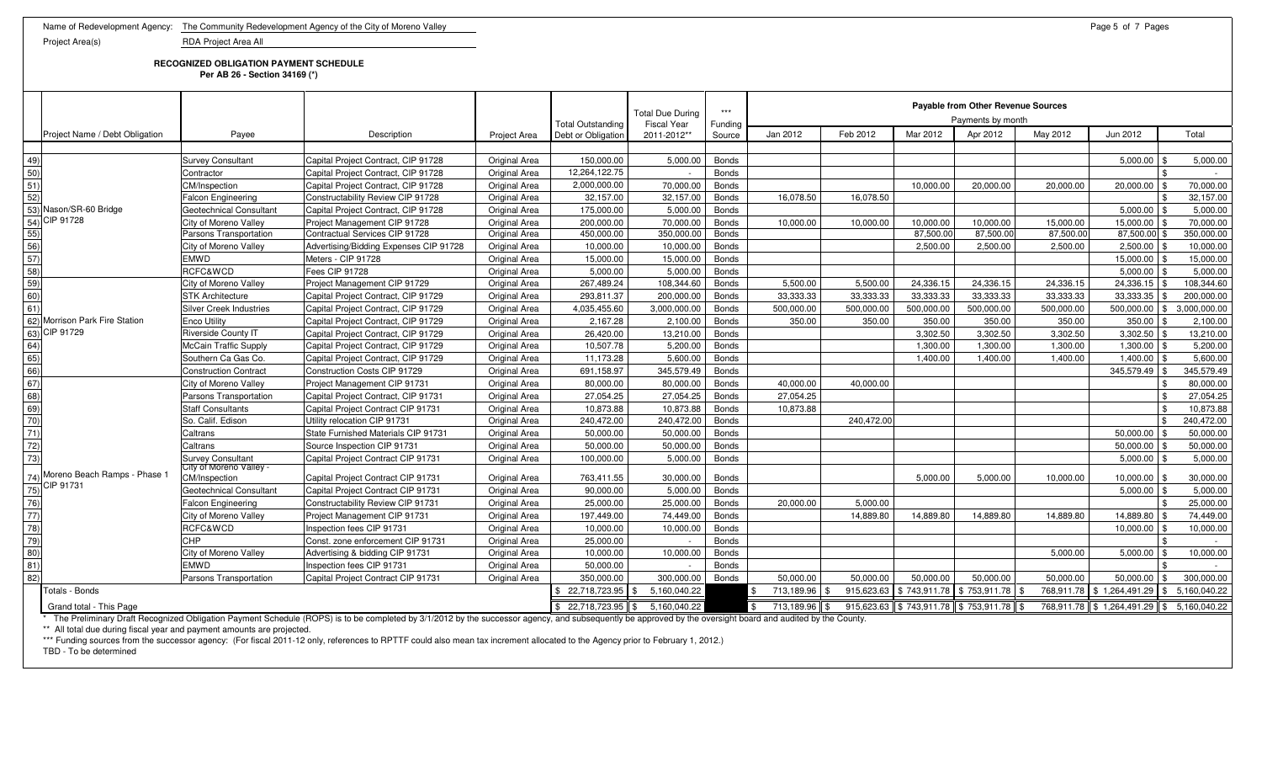**RECOGNIZED OBLIGATION PAYMENT SCHEDULE**

**Per AB 26 - Section 34169 (\*)**

|                                                    |                                          |                                                                                                                                                                                                            |                      |                          | <b>Total Due During</b>          | $***$        |                      | Payable from Other Revenue Sources<br>Payments by month |                       |                                      |            |                                          |                         |  |  |  |
|----------------------------------------------------|------------------------------------------|------------------------------------------------------------------------------------------------------------------------------------------------------------------------------------------------------------|----------------------|--------------------------|----------------------------------|--------------|----------------------|---------------------------------------------------------|-----------------------|--------------------------------------|------------|------------------------------------------|-------------------------|--|--|--|
|                                                    |                                          |                                                                                                                                                                                                            |                      | <b>Total Outstanding</b> | <b>Fiscal Year</b>               | Funding      |                      |                                                         | Mar 2012              |                                      |            |                                          |                         |  |  |  |
| Project Name / Debt Obligation                     | Payee                                    | Description                                                                                                                                                                                                | <b>Project Area</b>  | Debt or Obligation       | 2011-2012**                      | Source       | Jan 2012             | Feb 2012                                                |                       | Apr 2012                             | May 2012   | Jun 2012                                 | Total                   |  |  |  |
|                                                    |                                          |                                                                                                                                                                                                            |                      | 150,000.00               | 5,000.00                         |              |                      |                                                         |                       |                                      |            | 5,000.00                                 |                         |  |  |  |
| 49)                                                | <b>Survey Consultant</b>                 | Capital Project Contract, CIP 91728                                                                                                                                                                        | Original Area        |                          |                                  | <b>Bonds</b> |                      |                                                         |                       |                                      |            |                                          | 5,000.00                |  |  |  |
| 50)                                                | Contractor                               | Capital Project Contract, CIP 91728                                                                                                                                                                        | Original Area        | 12,264,122.75            |                                  | <b>Bonds</b> |                      |                                                         |                       |                                      |            |                                          |                         |  |  |  |
| $\overline{51)}$                                   | CM/Inspection                            | Capital Project Contract, CIP 91728                                                                                                                                                                        | Original Area        | 2,000,000.00             | 70,000.00                        | <b>Bonds</b> |                      |                                                         | 10,000.00             | 20,000.00                            | 20,000.00  | 20,000.00                                | 70,000.00               |  |  |  |
| 52)                                                | <b>Falcon Engineering</b>                | Constructability Review CIP 91728                                                                                                                                                                          | Original Area        | 32,157.00                | 32,157.00                        | <b>Bonds</b> | 16.078.50            | 16.078.50                                               |                       |                                      |            |                                          | 32,157.00               |  |  |  |
| 53) Nason/SR-60 Bridge                             | Geotechnical Consultant                  | Capital Project Contract, CIP 91728                                                                                                                                                                        | Original Area        | 175,000.00               | 5,000.00                         | <b>Bonds</b> |                      |                                                         |                       |                                      |            | 5.000.00                                 | 5.000.00                |  |  |  |
| 54) CIP 91728                                      | City of Moreno Valley                    | Project Management CIP 91728<br>Contractual Services CIP 91728                                                                                                                                             | Original Area        | 200,000.00               | 70,000.00                        | <b>Bonds</b> | 10,000.00            | 10,000.00                                               | 10,000.00             | 10,000.00                            | 15,000.00  | 15,000.00                                | 70,000.00               |  |  |  |
|                                                    | Parsons Transportation                   |                                                                                                                                                                                                            | Original Area        | 450,000.00               | 350,000.00                       | <b>Bonds</b> |                      |                                                         | 87,500.00<br>2.500.00 | 87,500.00<br>2.500.00                | 87,500.00  | 87,500.00<br>2.500.00                    | 350,000.00<br>10.000.00 |  |  |  |
|                                                    | City of Moreno Valley                    | Advertising/Bidding Expenses CIP 91728                                                                                                                                                                     | <b>Original Area</b> | 10,000.00                | 10,000.00                        | <b>Bonds</b> |                      |                                                         |                       |                                      | 2,500.00   |                                          |                         |  |  |  |
| $\frac{1}{50}$<br>$\frac{5}{50}$<br>$\frac{5}{50}$ | <b>EMWD</b>                              | Meters - CIP 91728                                                                                                                                                                                         | Original Area        | 15,000.00                | 15,000.00                        | <b>Bonds</b> |                      |                                                         |                       |                                      |            | 15,000.00                                | 15,000.00               |  |  |  |
|                                                    | RCFC&WCD                                 | Fees CIP 91728                                                                                                                                                                                             | Original Area        | 5,000.00                 | 5,000.00                         | <b>Bonds</b> |                      |                                                         |                       |                                      |            | 5,000.00                                 | 5,000.00                |  |  |  |
| 59)                                                | City of Moreno Valley                    | Project Management CIP 91729                                                                                                                                                                               | Original Area        | 267,489.24               | 108,344.60                       | <b>Bonds</b> | 5,500.00             | 5,500.00                                                | 24,336.15             | 24,336.15                            | 24,336.15  | 24,336.15 \$                             | 108,344.60              |  |  |  |
| $\overline{60}$                                    | <b>STK Architecture</b>                  | Capital Project Contract, CIP 91729                                                                                                                                                                        | Original Area        | 293,811.37               | 200,000.00                       | <b>Bonds</b> | 33,333.33            | 33.333.33                                               | 33.333.33             | 33,333.33                            | 33,333.33  | 33.333.35                                | 200,000.00              |  |  |  |
| 61)                                                | <b>Silver Creek Industries</b>           | Capital Project Contract, CIP 91729                                                                                                                                                                        | <b>Original Area</b> | 4,035,455.60             | 3,000,000.00                     | <b>Bonds</b> | 500,000.00           | 500,000.00                                              | 500,000.00            | 500,000.00                           | 500,000.00 | $500,000.00$ \$                          | 3,000,000.00            |  |  |  |
| 62) Morrison Park Fire Station                     | <b>Enco Utility</b>                      | Capital Project Contract, CIP 91729                                                                                                                                                                        | Original Area        | 2,167.28                 | 2,100.00                         | <b>Bonds</b> | 350.00               | 350.00                                                  | 350.00                | 350.00                               | 350.00     | 350.00                                   | 2,100.00                |  |  |  |
| 63) CIP 91729                                      | Riverside County IT                      | Capital Project Contract, CIP 91729                                                                                                                                                                        | Original Area        | 26,420.00                | 13,210.00                        | <b>Bonds</b> |                      |                                                         | 3,302.50              | 3,302.50                             | 3,302.50   | 3,302.50                                 | 13,210.00               |  |  |  |
| 64)                                                | <b>McCain Traffic Supply</b>             | Capital Project Contract, CIP 91729                                                                                                                                                                        | Original Area        | 10,507.78                | 5,200.00                         | <b>Bonds</b> |                      |                                                         | 1,300.00              | 1,300.00                             | 1.300.00   | 1,300.00                                 | 5,200.00                |  |  |  |
| $\frac{65}{66}$                                    | Southern Ca Gas Co.                      | Capital Project Contract, CIP 91729                                                                                                                                                                        | Original Area        | 11,173.28                | 5,600.00                         | <b>Bonds</b> |                      |                                                         | 1,400.00              | 1,400.00                             | 1,400.00   | $1,400.00$ \$                            | 5,600.00                |  |  |  |
|                                                    | <b>Construction Contract</b>             | Construction Costs CIP 91729                                                                                                                                                                               | Original Area        | 691,158.97               | 345,579.49                       | <b>Bonds</b> |                      |                                                         |                       |                                      |            | 345,579.49                               | 345,579.49              |  |  |  |
| 67)                                                | City of Moreno Valley                    | Project Management CIP 91731                                                                                                                                                                               | Original Area        | 80,000.00                | 80,000.00                        | <b>Bonds</b> | 40,000.00            | 40,000.00                                               |                       |                                      |            |                                          | 80,000.00               |  |  |  |
| 68)                                                | Parsons Transportation                   | Capital Project Contract, CIP 91731                                                                                                                                                                        | Original Area        | 27,054.25                | 27,054.25                        | <b>Bonds</b> | 27.054.25            |                                                         |                       |                                      |            |                                          | 27,054.25               |  |  |  |
| 69)                                                | <b>Staff Consultants</b>                 | Capital Project Contract CIP 91731                                                                                                                                                                         | Original Area        | 10,873.88                | 10,873.88                        | <b>Bonds</b> | 10,873.88            |                                                         |                       |                                      |            |                                          | 10,873.88               |  |  |  |
| $\frac{70}{71}$                                    | So. Calif. Edison                        | Utility relocation CIP 91731                                                                                                                                                                               | Original Area        | 240,472.00               | 240,472.00                       | <b>Bonds</b> |                      | 240,472.00                                              |                       |                                      |            |                                          | 240,472.00              |  |  |  |
|                                                    | Caltrans                                 | State Furnished Materials CIP 91731                                                                                                                                                                        | Original Area        | 50,000.00                | 50.000.00                        | <b>Bonds</b> |                      |                                                         |                       |                                      |            | 50.000.00                                | 50.000.00               |  |  |  |
| $\overline{72)}$                                   | Caltrans                                 | Source Inspection CIP 91731                                                                                                                                                                                | Original Area        | 50,000.00                | 50,000.00                        | <b>Bonds</b> |                      |                                                         |                       |                                      |            | 50,000.00                                | 50,000.00               |  |  |  |
| (73)                                               | <b>Survey Consultant</b>                 | Capital Project Contract CIP 91731                                                                                                                                                                         | Original Area        | 100,000.00               | 5,000.00                         | <b>Bonds</b> |                      |                                                         |                       |                                      |            | 5,000.00                                 | 5,000.00                |  |  |  |
| Moreno Beach Ramps - Phase 1<br>74)                | City of Moreno Valley -<br>CM/Inspection | Capital Project Contract CIP 91731                                                                                                                                                                         | Original Area        | 763,411.55               | 30,000.00                        | <b>Bonds</b> |                      |                                                         | 5,000.00              | 5,000.00                             | 10,000.00  | 10,000.00 \$                             | 30,000.00               |  |  |  |
| CIP 91731<br>75)                                   | Geotechnical Consultant                  | Capital Project Contract CIP 91731                                                                                                                                                                         | Original Area        | 90.000.00                | 5,000.00                         | <b>Bonds</b> |                      |                                                         |                       |                                      |            | 5.000.00                                 | 5.000.00                |  |  |  |
| 76)                                                | <b>Falcon Engineering</b>                | Constructability Review CIP 91731                                                                                                                                                                          | Original Area        | 25,000.00                | 25,000.00                        | <b>Bonds</b> | 20.000.00            | 5.000.00                                                |                       |                                      |            |                                          | 25.000.00               |  |  |  |
| $\overline{77}$                                    | City of Moreno Valley                    | Project Management CIP 91731                                                                                                                                                                               | Original Area        | 197,449.00               | 74,449.00                        | <b>Bonds</b> |                      | 14,889.80                                               | 14,889.80             | 14,889.80                            | 14,889.80  | 14,889.80                                | 74,449.00               |  |  |  |
| $\overline{78}$                                    | RCFC&WCD                                 | Inspection fees CIP 91731                                                                                                                                                                                  | Original Area        | 10,000.00                | 10,000.00                        | <b>Bonds</b> |                      |                                                         |                       |                                      |            | 10.000.00                                | 10,000.00               |  |  |  |
|                                                    | CHP                                      | Const. zone enforcement CIP 91731                                                                                                                                                                          | Original Area        | 25,000.00                |                                  | <b>Bonds</b> |                      |                                                         |                       |                                      |            |                                          |                         |  |  |  |
| $\frac{79}{80}$                                    | City of Moreno Valley                    | Advertising & bidding CIP 91731                                                                                                                                                                            | Original Area        | 10,000.00                | 10,000.00                        | <b>Bonds</b> |                      |                                                         |                       |                                      | 5,000.00   | 5,000.00                                 | 10,000.00               |  |  |  |
| $\overline{81}$                                    | <b>EMWD</b>                              | Inspection fees CIP 91731                                                                                                                                                                                  | Original Area        | 50,000.00                |                                  | <b>Bonds</b> |                      |                                                         |                       |                                      |            |                                          |                         |  |  |  |
| $\overline{82}$                                    | Parsons Transportation                   | Capital Project Contract CIP 91731                                                                                                                                                                         | Original Area        | 350,000.00               | 300,000.00                       | <b>Bonds</b> | 50,000.00            | 50,000.00                                               | 50,000.00             | 50,000.00                            | 50,000.00  | 50,000.00                                | 300,000.00              |  |  |  |
| Totals - Bonds                                     |                                          |                                                                                                                                                                                                            |                      | $$22,718,723.95$ \\$     | 5,160,040.22                     |              | 713,189.96           | 915,623.63                                              | \$743,911.78          | \$753,911.78                         | 768,911.78 | \$1,264,491.29                           | 5,160,040.22<br>I \$    |  |  |  |
| Grand total - This Page                            |                                          |                                                                                                                                                                                                            |                      |                          | $$22,718,723.95$ $$5,160,040.22$ |              | $$713,189.96$ \ \ \$ |                                                         |                       | 915,623.63 \$743,911.78 \$753,911.78 |            | 768,911.78 \$1,264,491.29 \$5,160,040.22 |                         |  |  |  |
|                                                    |                                          | * The Preliminary Draft Recognized Obligation Payment Schedule (ROPS) is to be completed by 3/1/2012 by the successor agency and subsequently be approved by the oversight board and audited by the County |                      |                          |                                  |              |                      |                                                         |                       |                                      |            |                                          |                         |  |  |  |

\* The Preliminary Draft Recognized Obligation Payment Schedule (ROPS) is to be completed by 3/1/2012 by the successor agency, and subsequently be approved by the oversight board and audited by the County.

\*\* All total due during fiscal year and payment amounts are projected.

\*\*\* Funding sources from the successor agency: (For fiscal 2011-12 only, references to RPTTF could also mean tax increment allocated to the Agency prior to February 1, 2012.)

TBD - To be determined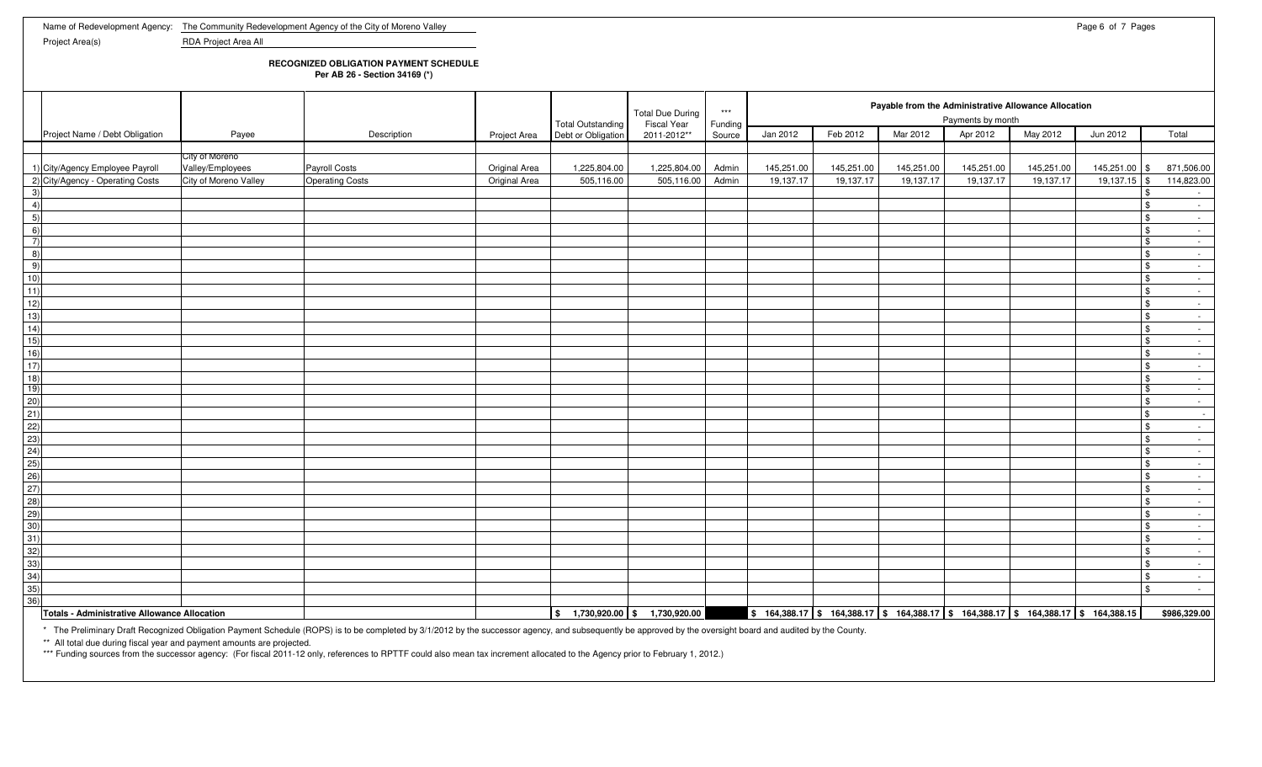## **RECOGNIZED OBLIGATION PAYMENT SCHEDULE**

**Per AB 26 - Section 34169 (\*)**

|                                                                                                                                                                                                                                                                   |                       |                        |               |                                         | <b>Total Due During</b>             | $***$             |            |                                                                                                    |            | Payable from the Administrative Allowance Allocation<br>Payments by month |            |                |                |                 |  |
|-------------------------------------------------------------------------------------------------------------------------------------------------------------------------------------------------------------------------------------------------------------------|-----------------------|------------------------|---------------|-----------------------------------------|-------------------------------------|-------------------|------------|----------------------------------------------------------------------------------------------------|------------|---------------------------------------------------------------------------|------------|----------------|----------------|-----------------|--|
| Project Name / Debt Obligation                                                                                                                                                                                                                                    | Payee                 | Description            | Project Area  | Total Outstanding<br>Debt or Obligation | <b>Fiscal Year</b><br>2011-2012**   | Funding<br>Source | Jan 2012   | Feb 2012                                                                                           | Mar 2012   | Apr 2012                                                                  | May 2012   | Jun 2012       |                | Total           |  |
|                                                                                                                                                                                                                                                                   |                       |                        |               |                                         |                                     |                   |            |                                                                                                    |            |                                                                           |            |                |                |                 |  |
|                                                                                                                                                                                                                                                                   | City of Moreno        |                        |               |                                         |                                     |                   |            |                                                                                                    |            |                                                                           |            |                |                |                 |  |
| 1) City/Agency Employee Payroll                                                                                                                                                                                                                                   | Valley/Employees      | Payroll Costs          | Original Area | 1,225,804.00                            | 1,225,804.00                        | Admin             | 145,251.00 | 145,251.00                                                                                         | 145,251.00 | 145,251.00                                                                | 145,251.00 | 145,251.00 \$  |                | 871,506.00      |  |
| 2) City/Agency - Operating Costs                                                                                                                                                                                                                                  | City of Moreno Valley | <b>Operating Costs</b> | Original Area | 505,116.00                              | 505,116.00                          | Admin             | 19,137.17  | 19,137.17                                                                                          | 19,137.17  | 19,137.17                                                                 | 19,137.17  | $19,137.15$ \$ |                | 114,823.00      |  |
| 3)                                                                                                                                                                                                                                                                |                       |                        |               |                                         |                                     |                   |            |                                                                                                    |            |                                                                           |            |                | \$             | $\sim$          |  |
| 4)                                                                                                                                                                                                                                                                |                       |                        |               |                                         |                                     |                   |            |                                                                                                    |            |                                                                           |            |                | $\sqrt{3}$     | $\sim$          |  |
| 5)                                                                                                                                                                                                                                                                |                       |                        |               |                                         |                                     |                   |            |                                                                                                    |            |                                                                           |            |                | $\mathfrak{S}$ | $\sim$          |  |
| 6)                                                                                                                                                                                                                                                                |                       |                        |               |                                         |                                     |                   |            |                                                                                                    |            |                                                                           |            |                | $\mathbf{s}$   | $\sim$ $-$      |  |
| $\left( 7\right)$                                                                                                                                                                                                                                                 |                       |                        |               |                                         |                                     |                   |            |                                                                                                    |            |                                                                           |            |                | $\sqrt{3}$     | $\sim$ $ \sim$  |  |
| $\overline{8}$                                                                                                                                                                                                                                                    |                       |                        |               |                                         |                                     |                   |            |                                                                                                    |            |                                                                           |            |                | $\mathfrak{S}$ | $\sim$          |  |
|                                                                                                                                                                                                                                                                   |                       |                        |               |                                         |                                     |                   |            |                                                                                                    |            |                                                                           |            |                | $\sqrt{3}$     | $\sim$ $-$      |  |
| $\frac{9}{10}$                                                                                                                                                                                                                                                    |                       |                        |               |                                         |                                     |                   |            |                                                                                                    |            |                                                                           |            |                | $\mathfrak{S}$ | $\sim$          |  |
| $\overline{11}$                                                                                                                                                                                                                                                   |                       |                        |               |                                         |                                     |                   |            |                                                                                                    |            |                                                                           |            |                | $\mathfrak{S}$ | $\sim$          |  |
| 12)                                                                                                                                                                                                                                                               |                       |                        |               |                                         |                                     |                   |            |                                                                                                    |            |                                                                           |            |                | $\mathfrak{S}$ | $\sim$          |  |
| $\frac{13}{14}$                                                                                                                                                                                                                                                   |                       |                        |               |                                         |                                     |                   |            |                                                                                                    |            |                                                                           |            |                | $\mathfrak{S}$ | $\sim$          |  |
|                                                                                                                                                                                                                                                                   |                       |                        |               |                                         |                                     |                   |            |                                                                                                    |            |                                                                           |            |                | $\frac{1}{2}$  | $\sim$          |  |
| $\frac{15}{16}$                                                                                                                                                                                                                                                   |                       |                        |               |                                         |                                     |                   |            |                                                                                                    |            |                                                                           |            |                | $$\mathbb{S}$$ | $\sim$          |  |
|                                                                                                                                                                                                                                                                   |                       |                        |               |                                         |                                     |                   |            |                                                                                                    |            |                                                                           |            |                | $\frac{3}{2}$  | $\sim$          |  |
|                                                                                                                                                                                                                                                                   |                       |                        |               |                                         |                                     |                   |            |                                                                                                    |            |                                                                           |            |                | $$\mathbb{S}$$ | $\sim 10^{-1}$  |  |
| $\frac{17}{18}$                                                                                                                                                                                                                                                   |                       |                        |               |                                         |                                     |                   |            |                                                                                                    |            |                                                                           |            |                | $\frac{3}{2}$  | $\sim$          |  |
|                                                                                                                                                                                                                                                                   |                       |                        |               |                                         |                                     |                   |            |                                                                                                    |            |                                                                           |            |                | $\sqrt{3}$     | $\sim$          |  |
|                                                                                                                                                                                                                                                                   |                       |                        |               |                                         |                                     |                   |            |                                                                                                    |            |                                                                           |            |                | $\mathfrak{S}$ | $\sim$ $-$      |  |
|                                                                                                                                                                                                                                                                   |                       |                        |               |                                         |                                     |                   |            |                                                                                                    |            |                                                                           |            |                | $\sqrt{3}$     | $\sim$ $-$      |  |
|                                                                                                                                                                                                                                                                   |                       |                        |               |                                         |                                     |                   |            |                                                                                                    |            |                                                                           |            |                | $\frac{3}{2}$  | $\sim$          |  |
|                                                                                                                                                                                                                                                                   |                       |                        |               |                                         |                                     |                   |            |                                                                                                    |            |                                                                           |            |                | $\sqrt{3}$     | $\sim$ $-$      |  |
|                                                                                                                                                                                                                                                                   |                       |                        |               |                                         |                                     |                   |            |                                                                                                    |            |                                                                           |            |                | $\mathfrak{S}$ | $\sim$          |  |
|                                                                                                                                                                                                                                                                   |                       |                        |               |                                         |                                     |                   |            |                                                                                                    |            |                                                                           |            |                | $\mathfrak{S}$ | $\sim 100$      |  |
|                                                                                                                                                                                                                                                                   |                       |                        |               |                                         |                                     |                   |            |                                                                                                    |            |                                                                           |            |                | $\sqrt{3}$     | $\sim 100$      |  |
|                                                                                                                                                                                                                                                                   |                       |                        |               |                                         |                                     |                   |            |                                                                                                    |            |                                                                           |            |                | $\mathfrak{S}$ | $\sim 10^{-11}$ |  |
|                                                                                                                                                                                                                                                                   |                       |                        |               |                                         |                                     |                   |            |                                                                                                    |            |                                                                           |            |                | $\sqrt{3}$     | $\sim$          |  |
|                                                                                                                                                                                                                                                                   |                       |                        |               |                                         |                                     |                   |            |                                                                                                    |            |                                                                           |            |                | $\mathfrak{S}$ | $\sim$ $ \sim$  |  |
|                                                                                                                                                                                                                                                                   |                       |                        |               |                                         |                                     |                   |            |                                                                                                    |            |                                                                           |            |                | $\sqrt{3}$     | $\sim$          |  |
|                                                                                                                                                                                                                                                                   |                       |                        |               |                                         |                                     |                   |            |                                                                                                    |            |                                                                           |            |                | $$\mathbb{S}$$ | $\sim$          |  |
| $\begin{array}{r l} \hline 190 & 20 \\ \hline 20 & 21 \\ \hline 22) & 23 \\ \hline 24 & 25 \\ \hline 24 & 25 \\ \hline 26 & 27 \\ \hline 28 & 29 \\ \hline 29 & 29 \\ \hline 30 & 31 \\ \hline 32 & 33 \\ \hline 34 & 35 \\ \hline 36 & 33 \\ \hline \end{array}$ |                       |                        |               |                                         |                                     |                   |            |                                                                                                    |            |                                                                           |            |                | $\mathfrak{S}$ | $\sim$          |  |
|                                                                                                                                                                                                                                                                   |                       |                        |               |                                         |                                     |                   |            |                                                                                                    |            |                                                                           |            |                | $\mathfrak{S}$ | $\sim$          |  |
|                                                                                                                                                                                                                                                                   |                       |                        |               |                                         |                                     |                   |            |                                                                                                    |            |                                                                           |            |                | $\sqrt{3}$     | $\sim$ $-$      |  |
|                                                                                                                                                                                                                                                                   |                       |                        |               |                                         |                                     |                   |            |                                                                                                    |            |                                                                           |            |                | \$             |                 |  |
|                                                                                                                                                                                                                                                                   |                       |                        |               |                                         |                                     |                   |            |                                                                                                    |            |                                                                           |            |                |                | $\sim$ $-$      |  |
|                                                                                                                                                                                                                                                                   |                       |                        |               |                                         |                                     |                   |            |                                                                                                    |            |                                                                           |            |                |                |                 |  |
| Totals - Administrative Allowance Allocation                                                                                                                                                                                                                      | .                     |                        |               |                                         | $$1,730,920.00 \  \, $1,730,920.00$ | .                 |            | $\frac{1}{2}$ 164,388.17 \\ 164,388.17 \ 5 164,388.17 \ 5 164,388.17 \ 5 164,388.17 \ 5 164,388.15 |            |                                                                           |            |                |                | \$986,329.00    |  |

\* The Preliminary Draft Recognized Obligation Payment Schedule (ROPS) is to be completed by 3/1/2012 by the successor agency, and subsequently be approved by the oversight board and audited by the County.

\*\* All total due during fiscal year and payment amounts are projected.<br>\*\*\* Funding sources from the successor agency: (For fiscal 2011-12 only, references to RPTTF could also mean tax increment allocated to the Agency prio